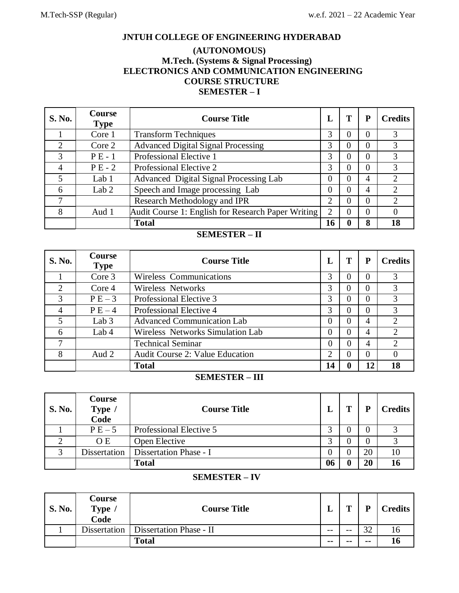# **JNTUH COLLEGE OF ENGINEERING HYDERABAD**

# **(AUTONOMOUS) M.Tech. (Systems & Signal Processing) ELECTRONICS AND COMMUNICATION ENGINEERING COURSE STRUCTURE SEMESTER – I**

| <b>S. No.</b> | <b>Course</b><br><b>Type</b> | <b>Course Title</b>                                |          | Т | P        | <b>Credits</b> |
|---------------|------------------------------|----------------------------------------------------|----------|---|----------|----------------|
|               | Core 1                       | <b>Transform Techniques</b>                        | 3        |   | $\theta$ |                |
|               | Core 2                       | <b>Advanced Digital Signal Processing</b>          |          | 0 | $\Omega$ |                |
| 3             | $PE-1$                       | Professional Elective 1                            | 3        | 0 | $\theta$ | 3              |
| 4             | $PE-2$                       | Professional Elective 2                            | 3        |   | $\Omega$ |                |
|               | Lab 1                        | Advanced Digital Signal Processing Lab             | $\theta$ |   | 4        |                |
| 6             | Lab $2$                      | Speech and Image processing Lab                    | $\Omega$ | 0 | 4        |                |
|               |                              | Research Methodology and IPR                       | 2        |   | $\Omega$ |                |
| 8             | Aud 1                        | Audit Course 1: English for Research Paper Writing | 2        | 0 | $\theta$ |                |
|               |                              | <b>Total</b>                                       | 16       |   | 8        | 18             |

# **SEMESTER – II**

| <b>S. No.</b>  | Course<br><b>Type</b> | <b>Course Title</b>                    |          | т | P        | <b>Credits</b> |
|----------------|-----------------------|----------------------------------------|----------|---|----------|----------------|
|                | Core 3                | Wireless Communications                | 3        | 0 | 0        | 3              |
| $\overline{2}$ | Core 4                | <b>Wireless Networks</b>               | 3        |   | 0        |                |
| 3              | $PE-3$                | Professional Elective 3                | 3        |   |          |                |
| $\overline{4}$ | $P E - 4$             | Professional Elective 4                | 3        | 0 | $\theta$ | 3              |
| 5              | Lab $3$               | <b>Advanced Communication Lab</b>      | $\theta$ |   | 4        |                |
| 6              | Lab 4                 | Wireless Networks Simulation Lab       | $\theta$ | 0 | 4        |                |
| 7              |                       | <b>Technical Seminar</b>               | $\Omega$ |   | 4        | $\mathcal{D}$  |
| 8              | Aud 2                 | <b>Audit Course 2: Value Education</b> | 2        | 0 | $\Omega$ |                |
|                |                       | 14<br><b>Total</b>                     |          |   | 12       | 18             |

# **SEMESTER – III**

| <b>S. No.</b> | <b>Course</b><br>Type /<br>Code | <b>Course Title</b>     |          | т | D  | <b>Credits</b> |
|---------------|---------------------------------|-------------------------|----------|---|----|----------------|
|               | $PE-5$                          | Professional Elective 5 | $\sim$   |   |    |                |
|               | O E                             | Open Elective           | 2        |   |    |                |
| っ             | <b>Dissertation</b>             | Dissertation Phase - I  | $\theta$ |   | 20 |                |
|               |                                 | <b>Total</b>            | 06       |   | 20 |                |

#### **SEMESTER – IV**

| <b>S. No.</b> | Course<br>Type,<br>Code | <b>Course Title</b>                    | ≖      | m     | D     | <b>Credits</b> |
|---------------|-------------------------|----------------------------------------|--------|-------|-------|----------------|
|               |                         | Dissertation   Dissertation Phase - II | $- -$  | $- -$ | າາ    |                |
|               |                         | <b>Total</b>                           | $\sim$ | $- -$ | $- -$ |                |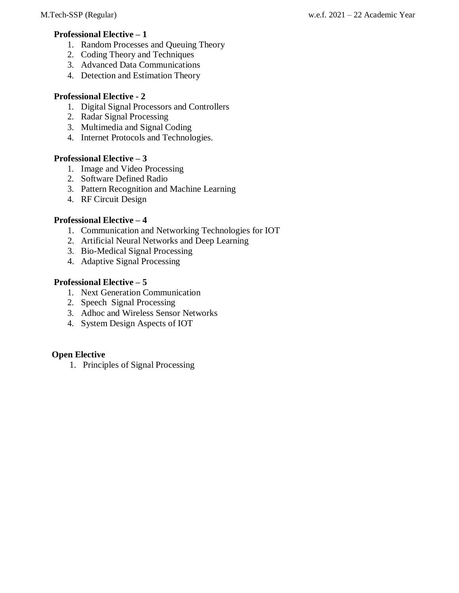# **Professional Elective – 1**

- 1. Random Processes and Queuing Theory
- 2. Coding Theory and Techniques
- 3. Advanced Data Communications
- 4. Detection and Estimation Theory

# **Professional Elective - 2**

- 1. Digital Signal Processors and Controllers
- 2. Radar Signal Processing
- 3. Multimedia and Signal Coding
- 4. Internet Protocols and Technologies.

# **Professional Elective – 3**

- 1. Image and Video Processing
- 2. Software Defined Radio
- 3. Pattern Recognition and Machine Learning
- 4. RF Circuit Design

# **Professional Elective – 4**

- 1. Communication and Networking Technologies for IOT
- 2. Artificial Neural Networks and Deep Learning
- 3. Bio-Medical Signal Processing
- 4. Adaptive Signal Processing

# **Professional Elective – 5**

- 1. Next Generation Communication
- 2. Speech Signal Processing
- 3. Adhoc and Wireless Sensor Networks
- 4. System Design Aspects of IOT

# **Open Elective**

1. Principles of Signal Processing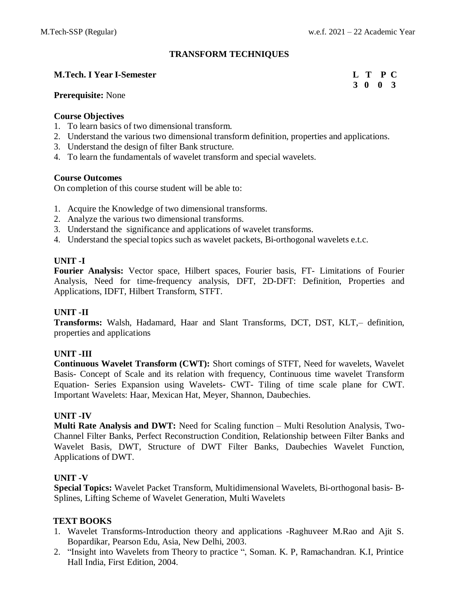# **TRANSFORM TECHNIQUES**

#### **M.Tech. I Year I-Semester L T P C**

# **3 0 0 3**

#### **Prerequisite:** None

#### **Course Objectives**

- 1. To learn basics of two dimensional transform.
- 2. Understand the various two dimensional transform definition, properties and applications.
- 3. Understand the design of filter Bank structure.
- 4. To learn the fundamentals of wavelet transform and special wavelets.

### **Course Outcomes**

On completion of this course student will be able to:

- 1. Acquire the Knowledge of two dimensional transforms.
- 2. Analyze the various two dimensional transforms.
- 3. Understand the significance and applications of wavelet transforms.
- 4. Understand the special topics such as wavelet packets, Bi-orthogonal wavelets e.t.c.

# **UNIT -I**

**Fourier Analysis:** Vector space, Hilbert spaces, Fourier basis, FT- Limitations of Fourier Analysis, Need for time-frequency analysis, DFT, 2D-DFT: Definition, Properties and Applications, IDFT, Hilbert Transform, STFT.

### **UNIT -II**

**Transforms:** Walsh, Hadamard, Haar and Slant Transforms, DCT, DST, KLT,– definition, properties and applications

### **UNIT -III**

**Continuous Wavelet Transform (CWT):** Short comings of STFT, Need for wavelets, Wavelet Basis- Concept of Scale and its relation with frequency, Continuous time wavelet Transform Equation- Series Expansion using Wavelets- CWT- Tiling of time scale plane for CWT. Important Wavelets: Haar, Mexican Hat, Meyer, Shannon, Daubechies.

### **UNIT -IV**

**Multi Rate Analysis and DWT:** Need for Scaling function – Multi Resolution Analysis, Two-Channel Filter Banks, Perfect Reconstruction Condition, Relationship between Filter Banks and Wavelet Basis, DWT, Structure of DWT Filter Banks, Daubechies Wavelet Function, Applications of DWT.

### **UNIT -V**

**Special Topics:** Wavelet Packet Transform, Multidimensional Wavelets, Bi-orthogonal basis- B-Splines, Lifting Scheme of Wavelet Generation, Multi Wavelets

### **TEXT BOOKS**

- 1. Wavelet Transforms-Introduction theory and applications -Raghuveer M.Rao and Ajit S. Bopardikar, Pearson Edu, Asia, New Delhi, 2003.
- 2. "Insight into Wavelets from Theory to practice ", Soman. K. P, Ramachandran. K.I, Printice Hall India, First Edition, 2004.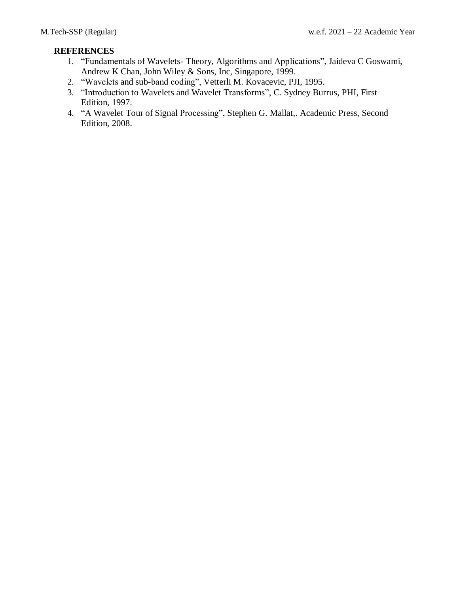- 1. "Fundamentals of Wavelets- Theory, Algorithms and Applications", Jaideva C Goswami, Andrew K Chan, John Wiley & Sons, Inc, Singapore, 1999.
- 2. "Wavelets and sub-band coding", Vetterli M. Kovacevic, PJI, 1995.
- 3. "Introduction to Wavelets and Wavelet Transforms", C. Sydney Burrus, PHI, First Edition, 1997.
- 4. "A Wavelet Tour of Signal Processing", Stephen G. Mallat,. Academic Press, Second Edition, 2008.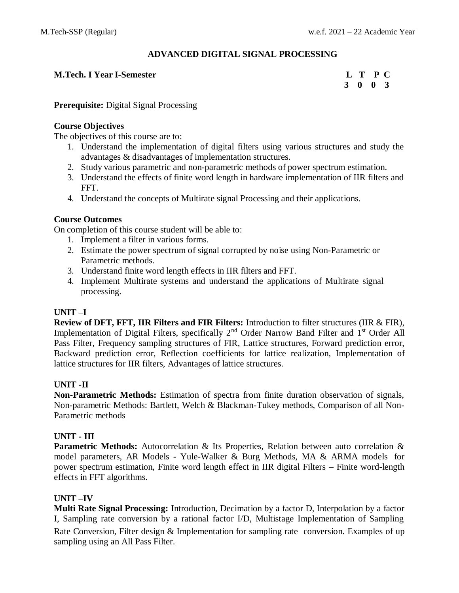# **ADVANCED DIGITAL SIGNAL PROCESSING**

#### **M.Tech. I Year I-Semester L T P C**

**3 0 0 3**

#### **Prerequisite:** Digital Signal Processing

#### **Course Objectives**

The objectives of this course are to:

- 1. Understand the implementation of digital filters using various structures and study the advantages & disadvantages of implementation structures.
- 2. Study various parametric and non-parametric methods of power spectrum estimation.
- 3. Understand the effects of finite word length in hardware implementation of IIR filters and FFT.
- 4. Understand the concepts of Multirate signal Processing and their applications.

### **Course Outcomes**

On completion of this course student will be able to:

- 1. Implement a filter in various forms.
- 2. Estimate the power spectrum of signal corrupted by noise using Non-Parametric or Parametric methods.
- 3. Understand finite word length effects in IIR filters and FFT.
- 4. Implement Multirate systems and understand the applications of Multirate signal processing.

### **UNIT –I**

**Review of DFT, FFT, IIR Filters and FIR Filters:** Introduction to filter structures (IIR & FIR), Implementation of Digital Filters, specifically 2<sup>nd</sup> Order Narrow Band Filter and 1<sup>st</sup> Order All Pass Filter, Frequency sampling structures of FIR, Lattice structures, Forward prediction error, Backward prediction error, Reflection coefficients for lattice realization, Implementation of lattice structures for IIR filters, Advantages of lattice structures.

### **UNIT -II**

**Non-Parametric Methods:** Estimation of spectra from finite duration observation of signals, Non-parametric Methods: Bartlett, Welch & Blackman-Tukey methods, Comparison of all Non-Parametric methods

### **UNIT - III**

**Parametric Methods:** Autocorrelation & Its Properties, Relation between auto correlation & model parameters, AR Models - Yule-Walker & Burg Methods, MA & ARMA models for power spectrum estimation, Finite word length effect in IIR digital Filters – Finite word-length effects in FFT algorithms.

### **UNIT –IV**

**Multi Rate Signal Processing:** Introduction, Decimation by a factor D, Interpolation by a factor I, Sampling rate conversion by a rational factor I/D, Multistage Implementation of Sampling Rate Conversion, Filter design & Implementation for sampling rate conversion. Examples of up sampling using an All Pass Filter.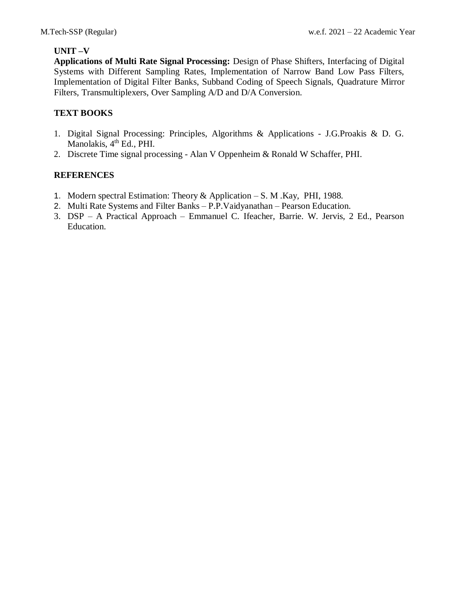# **UNIT –V**

**Applications of Multi Rate Signal Processing:** Design of Phase Shifters, Interfacing of Digital Systems with Different Sampling Rates, Implementation of Narrow Band Low Pass Filters, Implementation of Digital Filter Banks, Subband Coding of Speech Signals, Quadrature Mirror Filters, Transmultiplexers, Over Sampling A/D and D/A Conversion.

# **TEXT BOOKS**

- 1. Digital Signal Processing: Principles, Algorithms & Applications J.G.Proakis & D. G. Manolakis, 4<sup>th</sup> Ed., PHI.
- 2. Discrete Time signal processing Alan V Oppenheim & Ronald W Schaffer, PHI.

- 1. Modern spectral Estimation: Theory & Application S. M .Kay, PHI, 1988.
- 2. Multi Rate Systems and Filter Banks P.P.Vaidyanathan Pearson Education.
- 3. DSP A Practical Approach Emmanuel C. Ifeacher, Barrie. W. Jervis, 2 Ed., Pearson Education.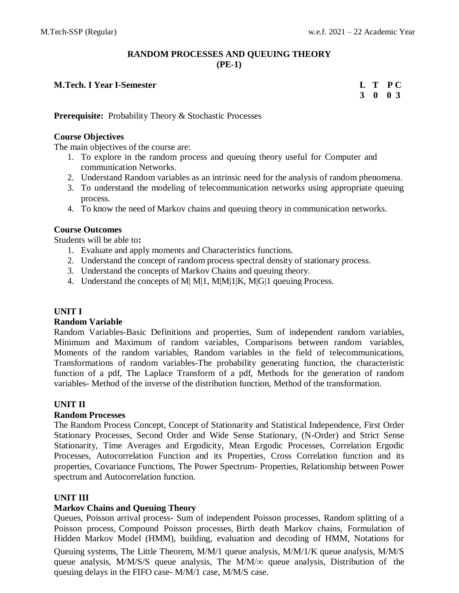# **RANDOM PROCESSES AND QUEUING THEORY (PE-1)**

#### **M.Tech. I Year I-Semester L T P C**

**3 0 0 3**

**Prerequisite:** Probability Theory & Stochastic Processes

#### **Course Objectives**

The main objectives of the course are:

- 1. To explore in the random process and queuing theory useful for Computer and communication Networks.
- 2. Understand Random variables as an intrinsic need for the analysis of random phenomena.
- 3. To understand the modeling of telecommunication networks using appropriate queuing process.
- 4. To know the need of Markov chains and queuing theory in communication networks.

### **Course Outcomes**

Students will be able to**:**

- 1. Evaluate and apply moments and Characteristics functions.
- 2. Understand the concept of random process spectral density of stationary process.
- 3. Understand the concepts of Markov Chains and queuing theory.
- 4. Understand the concepts of M| M|1, M|M|1|K, M|G|1 queuing Process.

### **UNIT I**

#### **Random Variable**

Random Variables-Basic Definitions and properties, Sum of independent random variables, Minimum and Maximum of random variables, Comparisons between random variables, Moments of the random variables, Random variables in the field of telecommunications, Transformations of random variables-The probability generating function, the characteristic function of a pdf, The Laplace Transform of a pdf, Methods for the generation of random variables- Method of the inverse of the distribution function, Method of the transformation.

#### **UNIT II**

#### **Random Processes**

The Random Process Concept, Concept of Stationarity and Statistical Independence, First Order Stationary Processes, Second Order and Wide Sense Stationary, (N-Order) and Strict Sense Stationarity, Time Averages and Ergodicity, Mean Ergodic Processes, Correlation Ergodic Processes, Autocorrelation Function and its Properties, Cross Correlation function and its properties, Covariance Functions, The Power Spectrum- Properties, Relationship between Power spectrum and Autocorrelation function.

### **UNIT III**

# **Markov Chains and Queuing Theory**

Queues, Poisson arrival process- Sum of independent Poisson processes, Random splitting of a Poisson process, Compound Poisson processes, Birth death Markov chains, Formulation of Hidden Markov Model (HMM), building, evaluation and decoding of HMM, Notations for Queuing systems, The Little Theorem, M/M/1 queue analysis, M/M/1/K queue analysis, M/M/S queue analysis, M/M/S/S queue analysis, The M/M/ $\infty$  queue analysis, Distribution of the queuing delays in the FIFO case- M/M/1 case, M/M/S case.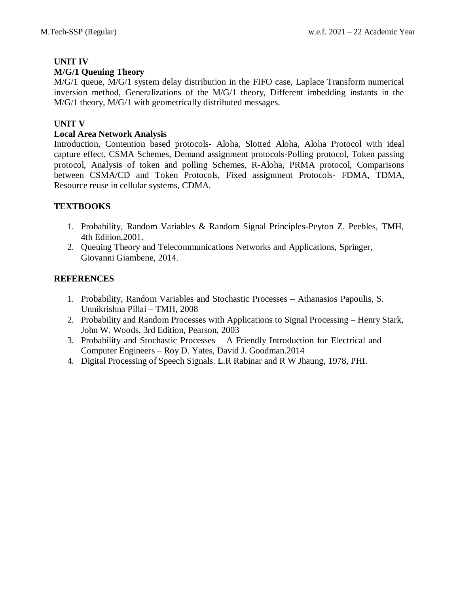# **UNIT IV**

# **M/G/1 Queuing Theory**

M/G/1 queue, M/G/1 system delay distribution in the FIFO case, Laplace Transform numerical inversion method, Generalizations of the M/G/1 theory, Different imbedding instants in the M/G/1 theory, M/G/1 with geometrically distributed messages.

# **UNIT V**

# **Local Area Network Analysis**

Introduction, Contention based protocols- Aloha, Slotted Aloha, Aloha Protocol with ideal capture effect, CSMA Schemes, Demand assignment protocols-Polling protocol, Token passing protocol, Analysis of token and polling Schemes, R-Aloha, PRMA protocol, Comparisons between CSMA/CD and Token Protocols, Fixed assignment Protocols- FDMA, TDMA, Resource reuse in cellular systems, CDMA.

# **TEXTBOOKS**

- 1. Probability, Random Variables & Random Signal Principles-Peyton Z. Peebles, TMH, 4th Edition,2001.
- 2. Queuing Theory and Telecommunications Networks and Applications, Springer, Giovanni Giambene, 2014.

- 1. Probability, Random Variables and Stochastic Processes Athanasios Papoulis, S. Unnikrishna Pillai – TMH, 2008
- 2. Probability and Random Processes with Applications to Signal Processing Henry Stark, John W. Woods, 3rd Edition, Pearson, 2003
- 3. Probability and Stochastic Processes A Friendly Introduction for Electrical and Computer Engineers – Roy D. Yates, David J. Goodman.2014
- 4. Digital Processing of Speech Signals. L.R Rabinar and R W Jhaung, 1978, PHI.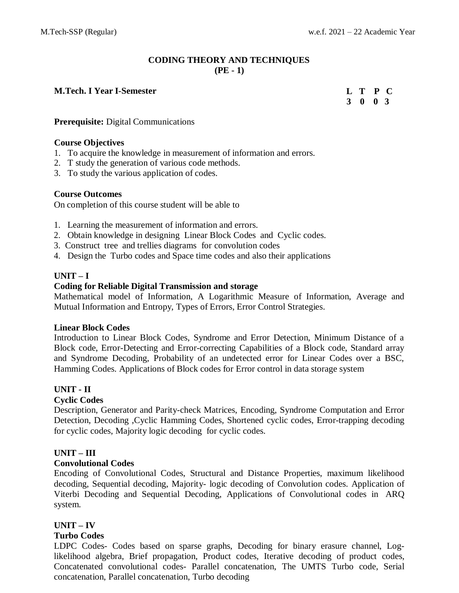# **CODING THEORY AND TECHNIQUES (PE - 1)**

### **M.Tech. I** Year **I-Semester**

**3 0 0 3 T P C**

#### **Prerequisite:** Digital Communications

#### **Course Objectives**

- 1. To acquire the knowledge in measurement of information and errors.
- 2. T study the generation of various code methods.
- 3. To study the various application of codes.

#### **Course Outcomes**

On completion of this course student will be able to

- 1. Learning the measurement of information and errors.
- 2. Obtain knowledge in designing Linear Block Codes and Cyclic codes.
- 3. Construct tree and trellies diagrams for convolution codes
- 4. Design the Turbo codes and Space time codes and also their applications

### **UNIT – I**

#### **Coding for Reliable Digital Transmission and storage**

Mathematical model of Information, A Logarithmic Measure of Information, Average and Mutual Information and Entropy, Types of Errors, Error Control Strategies.

#### **Linear Block Codes**

Introduction to Linear Block Codes, Syndrome and Error Detection, Minimum Distance of a Block code, Error-Detecting and Error-correcting Capabilities of a Block code, Standard array and Syndrome Decoding, Probability of an undetected error for Linear Codes over a BSC, Hamming Codes. Applications of Block codes for Error control in data storage system

### **UNIT - II**

### **Cyclic Codes**

Description, Generator and Parity-check Matrices, Encoding, Syndrome Computation and Error Detection, Decoding ,Cyclic Hamming Codes, Shortened cyclic codes, Error-trapping decoding for cyclic codes, Majority logic decoding for cyclic codes.

### **UNIT – III**

### **Convolutional Codes**

Encoding of Convolutional Codes, Structural and Distance Properties, maximum likelihood decoding, Sequential decoding, Majority- logic decoding of Convolution codes. Application of Viterbi Decoding and Sequential Decoding, Applications of Convolutional codes in ARQ system.

### **UNIT – IV**

### **Turbo Codes**

LDPC Codes- Codes based on sparse graphs, Decoding for binary erasure channel, Loglikelihood algebra, Brief propagation, Product codes, Iterative decoding of product codes, Concatenated convolutional codes- Parallel concatenation, The UMTS Turbo code, Serial concatenation, Parallel concatenation, Turbo decoding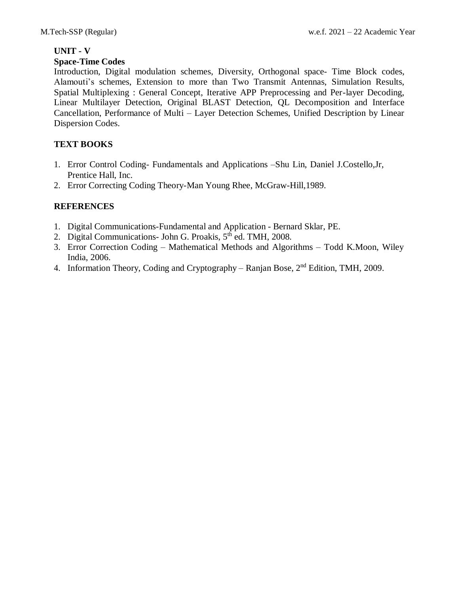# **UNIT - V**

# **Space-Time Codes**

Introduction, Digital modulation schemes, Diversity, Orthogonal space- Time Block codes, Alamouti's schemes, Extension to more than Two Transmit Antennas, Simulation Results, Spatial Multiplexing : General Concept, Iterative APP Preprocessing and Per-layer Decoding, Linear Multilayer Detection, Original BLAST Detection, QL Decomposition and Interface Cancellation, Performance of Multi – Layer Detection Schemes, Unified Description by Linear Dispersion Codes.

# **TEXT BOOKS**

- 1. Error Control Coding- Fundamentals and Applications –Shu Lin, Daniel J.Costello,Jr, Prentice Hall, Inc.
- 2. Error Correcting Coding Theory-Man Young Rhee, McGraw-Hill,1989.

- 1. Digital Communications-Fundamental and Application Bernard Sklar, PE.
- 2. Digital Communications- John G. Proakis, 5<sup>th</sup> ed. TMH, 2008.
- 3. Error Correction Coding Mathematical Methods and Algorithms Todd K.Moon, Wiley India, 2006.
- 4. Information Theory, Coding and Cryptography Ranjan Bose,  $2<sup>nd</sup>$  Edition, TMH, 2009.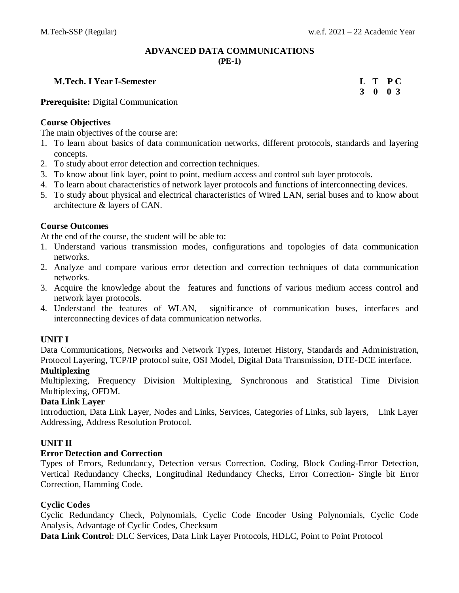# **ADVANCED DATA COMMUNICATIONS (PE-1)**

#### **M.Tech. I Year I-Semester L T P C**

**3 0 0 3**

**Prerequisite:** Digital Communication

### **Course Objectives**

The main objectives of the course are:

- 1. To learn about basics of data communication networks, different protocols, standards and layering concepts.
- 2. To study about error detection and correction techniques.
- 3. To know about link layer, point to point, medium access and control sub layer protocols.
- 4. To learn about characteristics of network layer protocols and functions of interconnecting devices.
- 5. To study about physical and electrical characteristics of Wired LAN, serial buses and to know about architecture & layers of CAN.

### **Course Outcomes**

At the end of the course, the student will be able to:

- 1. Understand various transmission modes, configurations and topologies of data communication networks.
- 2. Analyze and compare various error detection and correction techniques of data communication networks.
- 3. Acquire the knowledge about the features and functions of various medium access control and network layer protocols.
- 4. Understand the features of WLAN, significance of communication buses, interfaces and interconnecting devices of data communication networks.

### **UNIT I**

Data Communications, Networks and Network Types, Internet History, Standards and Administration, Protocol Layering, TCP/IP protocol suite, OSI Model, Digital Data Transmission, DTE-DCE interface. **Multiplexing**

# Multiplexing, Frequency Division Multiplexing, Synchronous and Statistical Time Division Multiplexing, OFDM.

### **Data Link Layer**

Introduction, Data Link Layer, Nodes and Links, Services, Categories of Links, sub layers, Link Layer Addressing, Address Resolution Protocol.

# **UNIT II**

### **Error Detection and Correction**

Types of Errors, Redundancy, Detection versus Correction, Coding, Block Coding-Error Detection, Vertical Redundancy Checks, Longitudinal Redundancy Checks, Error Correction- Single bit Error Correction, Hamming Code.

### **Cyclic Codes**

Cyclic Redundancy Check, Polynomials, Cyclic Code Encoder Using Polynomials, Cyclic Code Analysis, Advantage of Cyclic Codes, Checksum

**Data Link Control**: DLC Services, Data Link Layer Protocols, HDLC, Point to Point Protocol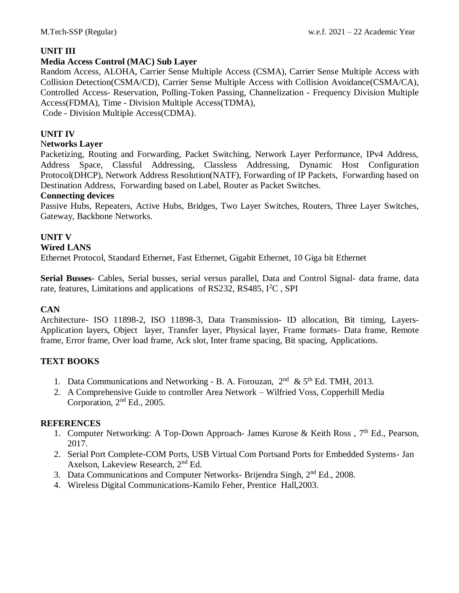# **UNIT III**

# **Media Access Control (MAC) Sub Layer**

Random Access, ALOHA, Carrier Sense Multiple Access (CSMA), Carrier Sense Multiple Access with Collision Detection(CSMA/CD), Carrier Sense Multiple Access with Collision Avoidance(CSMA/CA), Controlled Access- Reservation, Polling-Token Passing, Channelization - Frequency Division Multiple Access(FDMA), Time - Division Multiple Access(TDMA),

Code - Division Multiple Access(CDMA).

# **UNIT IV**

# N**etworks Layer**

Packetizing, Routing and Forwarding, Packet Switching, Network Layer Performance, IPv4 Address, Address Space, Classful Addressing, Classless Addressing, Dynamic Host Configuration Protocol(DHCP), Network Address Resolution(NATF), Forwarding of IP Packets, Forwarding based on Destination Address, Forwarding based on Label, Router as Packet Switches.

### **Connecting devices**

Passive Hubs, Repeaters, Active Hubs, Bridges, Two Layer Switches, Routers, Three Layer Switches, Gateway, Backbone Networks.

# **UNIT V**

# **Wired LANS**

Ethernet Protocol, Standard Ethernet, Fast Ethernet, Gigabit Ethernet, 10 Giga bit Ethernet

**Serial Busses**- Cables, Serial busses, serial versus parallel, Data and Control Signal- data frame, data rate, features, Limitations and applications of RS232, RS485,  $I^2C$ , SPI

### **CAN**

Architecture- ISO 11898-2, ISO 11898-3, Data Transmission- ID allocation, Bit timing, Layers-Application layers, Object layer, Transfer layer, Physical layer, Frame formats- Data frame, Remote frame, Error frame, Over load frame, Ack slot, Inter frame spacing, Bit spacing, Applications.

### **TEXT BOOKS**

- 1. Data Communications and Networking B. A. Forouzan,  $2<sup>nd</sup>$  &  $5<sup>th</sup>$  Ed. TMH, 2013.
- 2. A Comprehensive Guide to controller Area Network Wilfried Voss, Copperhill Media Corporation,  $2<sup>nd</sup> Ed.$ , 2005.

- 1. Computer Networking: A Top-Down Approach- James Kurose & Keith Ross, 7<sup>th</sup> Ed., Pearson, 2017.
- 2. Serial Port Complete-COM Ports, USB Virtual Com Portsand Ports for Embedded Systems- Jan Axelson, Lakeview Research, 2nd Ed.
- 3. Data Communications and Computer Networks- Brijendra Singh, 2<sup>nd</sup> Ed., 2008.
- 4. Wireless Digital Communications-Kamilo Feher, Prentice Hall,2003.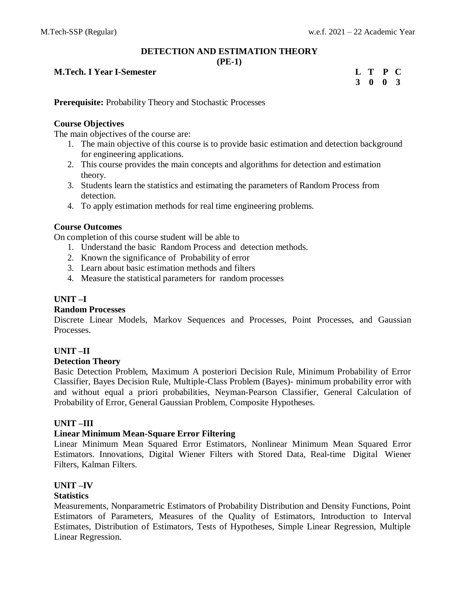# **DETECTION AND ESTIMATION THEORY**

**(PE-1)**

# **M.Tech. I Year <b>I-Semester**

| L | Т        | P  | C              |
|---|----------|----|----------------|
| 3 | $\bf{0}$ | -0 | $\overline{3}$ |

**Prerequisite:** Probability Theory and Stochastic Processes

# **Course Objectives**

The main objectives of the course are:

- 1. The main objective of this course is to provide basic estimation and detection background for engineering applications.
- 2. This course provides the main concepts and algorithms for detection and estimation theory.
- 3. Students learn the statistics and estimating the parameters of Random Process from detection.
- 4. To apply estimation methods for real time engineering problems.

# **Course Outcomes**

On completion of this course student will be able to

- 1. Understand the basic Random Process and detection methods.
- 2. Known the significance of Probability of error
- 3. Learn about basic estimation methods and filters
- 4. Measure the statistical parameters for random processes

# **UNIT –I**

### **Random Processes**

Discrete Linear Models, Markov Sequences and Processes, Point Processes, and Gaussian Processes.

### **UNIT –II**

### **Detection Theory**

Basic Detection Problem, Maximum A posteriori Decision Rule, Minimum Probability of Error Classifier, Bayes Decision Rule, Multiple-Class Problem (Bayes)- minimum probability error with and without equal a priori probabilities, Neyman-Pearson Classifier, General Calculation of Probability of Error, General Gaussian Problem, Composite Hypotheses.

### **UNIT –III**

### **Linear Minimum Mean-Square Error Filtering**

Linear Minimum Mean Squared Error Estimators, Nonlinear Minimum Mean Squared Error Estimators. Innovations, Digital Wiener Filters with Stored Data, Real-time Digital Wiener Filters, Kalman Filters.

# **UNIT –IV**

### **Statistics**

Measurements, Nonparametric Estimators of Probability Distribution and Density Functions, Point Estimators of Parameters, Measures of the Quality of Estimators, Introduction to Interval Estimates, Distribution of Estimators, Tests of Hypotheses, Simple Linear Regression, Multiple Linear Regression.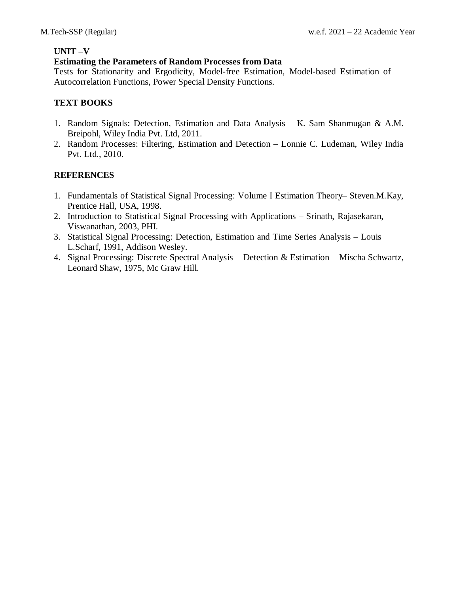# **UNIT –V**

### **Estimating the Parameters of Random Processes from Data**

Tests for Stationarity and Ergodicity, Model-free Estimation, Model-based Estimation of Autocorrelation Functions, Power Special Density Functions.

# **TEXT BOOKS**

- 1. Random Signals: Detection, Estimation and Data Analysis K. Sam Shanmugan & A.M. Breipohl, Wiley India Pvt. Ltd, 2011.
- 2. Random Processes: Filtering, Estimation and Detection Lonnie C. Ludeman, Wiley India Pvt. Ltd., 2010.

- 1. Fundamentals of Statistical Signal Processing: Volume I Estimation Theory– Steven.M.Kay, Prentice Hall, USA, 1998.
- 2. Introduction to Statistical Signal Processing with Applications Srinath, Rajasekaran, Viswanathan, 2003, PHI.
- 3. Statistical Signal Processing: Detection, Estimation and Time Series Analysis Louis L.Scharf, 1991, Addison Wesley.
- 4. Signal Processing: Discrete Spectral Analysis Detection & Estimation Mischa Schwartz, Leonard Shaw, 1975, Mc Graw Hill.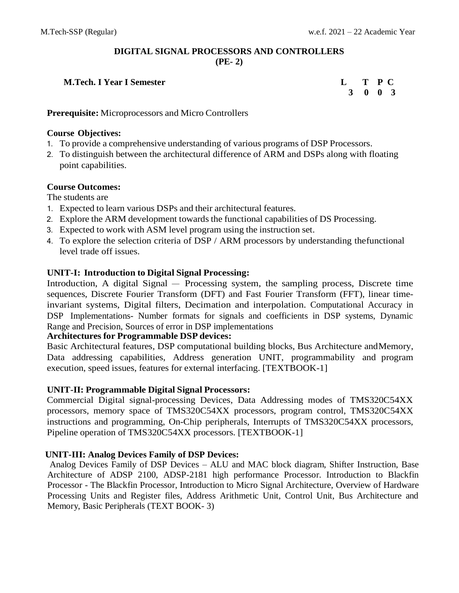# **DIGITAL SIGNAL PROCESSORS AND CONTROLLERS (PE- 2)**

# **M.Tech. I Year I Semester L T P C**

 **3 0 0 3**

**Prerequisite:** Microprocessors and Micro Controllers

# **Course Objectives:**

- 1. To provide a comprehensive understanding of various programs of DSP Processors.
- 2. To distinguish between the architectural difference of ARM and DSPs along with floating point capabilities.

# **Course Outcomes:**

The students are

- 1. Expected to learn various DSPs and their architectural features.
- 2. Explore the ARM development towards the functional capabilities of DS Processing.
- 3. Expected to work with ASM level program using the instruction set.
- 4. To explore the selection criteria of DSP / ARM processors by understanding thefunctional level trade off issues.

# **UNIT-I: Introduction to Digital Signal Processing:**

Introduction, A digital Signal – Processing system, the sampling process, Discrete time sequences, Discrete Fourier Transform (DFT) and Fast Fourier Transform (FFT), linear timeinvariant systems, Digital filters, Decimation and interpolation. Computational Accuracy in DSP Implementations- Number formats for signals and coefficients in DSP systems, Dynamic Range and Precision, Sources of error in DSP implementations

# **Architectures for Programmable DSP devices:**

Basic Architectural features, DSP computational building blocks, Bus Architecture andMemory, Data addressing capabilities, Address generation UNIT, programmability and program execution, speed issues, features for external interfacing. [TEXTBOOK-1]

# **UNIT-II: Programmable Digital Signal Processors:**

Commercial Digital signal-processing Devices, Data Addressing modes of TMS320C54XX processors, memory space of TMS320C54XX processors, program control, TMS320C54XX instructions and programming, On-Chip peripherals, Interrupts of TMS320C54XX processors, Pipeline operation of TMS320C54XX processors. [TEXTBOOK-1]

# **UNIT-III: Analog Devices Family of DSP Devices:**

Analog Devices Family of DSP Devices – ALU and MAC block diagram, Shifter Instruction, Base Architecture of ADSP 2100, ADSP-2181 high performance Processor. Introduction to Blackfin Processor - The Blackfin Processor, Introduction to Micro Signal Architecture, Overview of Hardware Processing Units and Register files, Address Arithmetic Unit, Control Unit, Bus Architecture and Memory, Basic Peripherals (TEXT BOOK- 3)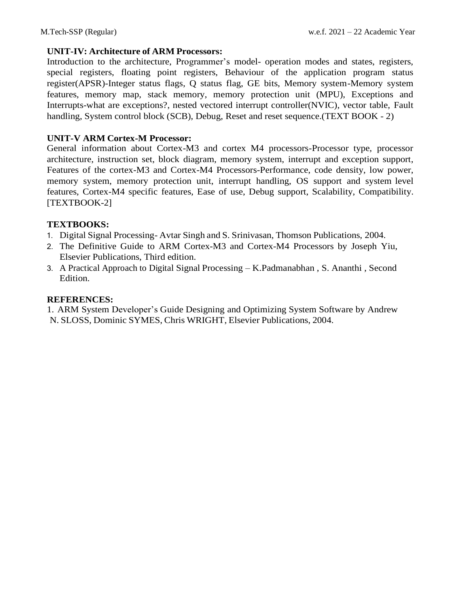# **UNIT-IV: Architecture of ARM Processors:**

Introduction to the architecture, Programmer's model- operation modes and states, registers, special registers, floating point registers, Behaviour of the application program status register(APSR)-Integer status flags, Q status flag, GE bits, Memory system-Memory system features, memory map, stack memory, memory protection unit (MPU), Exceptions and Interrupts-what are exceptions?, nested vectored interrupt controller(NVIC), vector table, Fault handling, System control block (SCB), Debug, Reset and reset sequence. (TEXT BOOK - 2)

# **UNIT-V ARM Cortex-M Processor:**

General information about Cortex-M3 and cortex M4 processors-Processor type, processor architecture, instruction set, block diagram, memory system, interrupt and exception support, Features of the cortex-M3 and Cortex-M4 Processors-Performance, code density, low power, memory system, memory protection unit, interrupt handling, OS support and system level features, Cortex-M4 specific features, Ease of use, Debug support, Scalability, Compatibility. [TEXTBOOK-2]

# **TEXTBOOKS:**

- 1. Digital Signal Processing- Avtar Singh and S. Srinivasan, Thomson Publications, 2004.
- 2. The Definitive Guide to ARM Cortex-M3 and Cortex-M4 Processors by Joseph Yiu, Elsevier Publications, Third edition.
- 3. A Practical Approach to Digital Signal Processing K.Padmanabhan , S. Ananthi , Second Edition.

# **REFERENCES:**

1. ARM System Developer's Guide Designing and Optimizing System Software by Andrew N. SLOSS, Dominic SYMES, Chris WRIGHT, Elsevier Publications, 2004.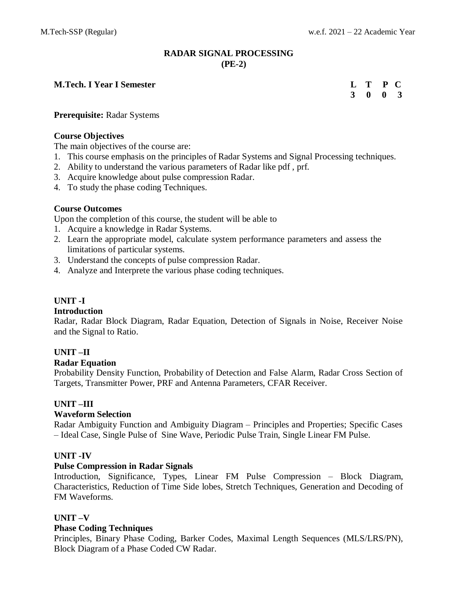# **RADAR SIGNAL PROCESSING (PE-2)**

### **M.Tech. I** Year **I** Semester

| L | T | P | $\mathbf C$             |
|---|---|---|-------------------------|
| 3 | 0 | 0 | $\overline{\mathbf{3}}$ |

#### **Prerequisite:** Radar Systems

### **Course Objectives**

The main objectives of the course are:

- 1. This course emphasis on the principles of Radar Systems and Signal Processing techniques.
- 2. Ability to understand the various parameters of Radar like pdf , prf.
- 3. Acquire knowledge about pulse compression Radar.
- 4. To study the phase coding Techniques.

### **Course Outcomes**

Upon the completion of this course, the student will be able to

- 1. Acquire a knowledge in Radar Systems.
- 2. Learn the appropriate model, calculate system performance parameters and assess the limitations of particular systems.
- 3. Understand the concepts of pulse compression Radar.
- 4. Analyze and Interprete the various phase coding techniques.

# **UNIT -I**

#### **Introduction**

Radar, Radar Block Diagram, Radar Equation, Detection of Signals in Noise, Receiver Noise and the Signal to Ratio.

### **UNIT –II**

### **Radar Equation**

Probability Density Function, Probability of Detection and False Alarm, Radar Cross Section of Targets, Transmitter Power, PRF and Antenna Parameters, CFAR Receiver.

### **UNIT –III**

### **Waveform Selection**

Radar Ambiguity Function and Ambiguity Diagram – Principles and Properties; Specific Cases – Ideal Case, Single Pulse of Sine Wave, Periodic Pulse Train, Single Linear FM Pulse.

### **UNIT -IV**

### **Pulse Compression in Radar Signals**

Introduction, Significance, Types, Linear FM Pulse Compression – Block Diagram, Characteristics, Reduction of Time Side lobes, Stretch Techniques, Generation and Decoding of FM Waveforms.

### **UNIT –V**

#### **Phase Coding Techniques**

Principles, Binary Phase Coding, Barker Codes, Maximal Length Sequences (MLS/LRS/PN), Block Diagram of a Phase Coded CW Radar.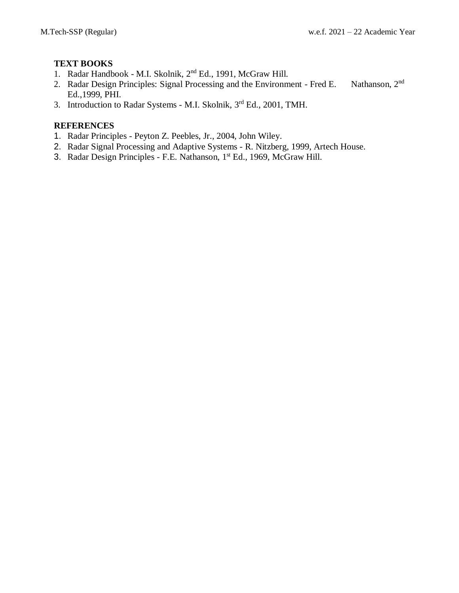# **TEXT BOOKS**

- 1. Radar Handbook M.I. Skolnik, 2<sup>nd</sup> Ed., 1991, McGraw Hill.
- 2. Radar Design Principles: Signal Processing and the Environment Fred E. Nathanson, 2<sup>nd</sup> Ed.,1999, PHI.
- 3. Introduction to Radar Systems M.I. Skolnik, 3rd Ed., 2001, TMH.

- 1. Radar Principles Peyton Z. Peebles, Jr., 2004, John Wiley.
- 2. Radar Signal Processing and Adaptive Systems R. Nitzberg, 1999, Artech House.
- 3. Radar Design Principles F.E. Nathanson, 1<sup>st</sup> Ed., 1969, McGraw Hill.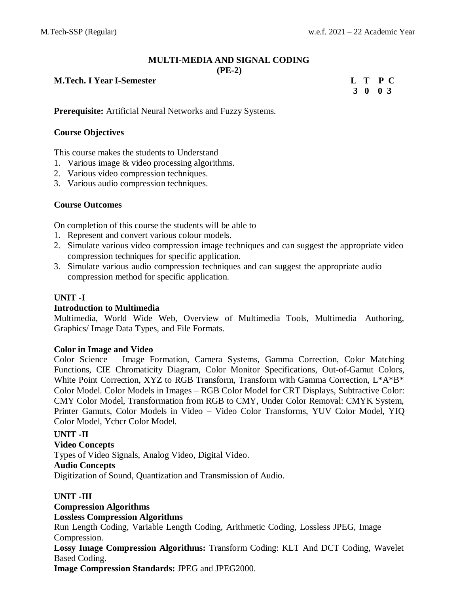# **MULTI-MEDIA AND SIGNAL CODING**

**(PE-2)**

# **M.Tech. I Year I-Semester L T P C**

**3 0 0 3**

**Prerequisite:** Artificial Neural Networks and Fuzzy Systems.

# **Course Objectives**

This course makes the students to Understand

- 1. Various image & video processing algorithms.
- 2. Various video compression techniques.
- 3. Various audio compression techniques.

# **Course Outcomes**

On completion of this course the students will be able to

- 1. Represent and convert various colour models.
- 2. Simulate various video compression image techniques and can suggest the appropriate video compression techniques for specific application.
- 3. Simulate various audio compression techniques and can suggest the appropriate audio compression method for specific application.

# **UNIT -I**

### **Introduction to Multimedia**

Multimedia, World Wide Web, Overview of Multimedia Tools, Multimedia Authoring, Graphics/ Image Data Types, and File Formats.

### **Color in Image and Video**

Color Science – Image Formation, Camera Systems, Gamma Correction, Color Matching Functions, CIE Chromaticity Diagram, Color Monitor Specifications, Out-of-Gamut Colors, White Point Correction, XYZ to RGB Transform, Transform with Gamma Correction, L\*A\*B\* Color Model. Color Models in Images – RGB Color Model for CRT Displays, Subtractive Color: CMY Color Model, Transformation from RGB to CMY, Under Color Removal: CMYK System, Printer Gamuts, Color Models in Video – Video Color Transforms, YUV Color Model, YIQ Color Model, Ycbcr Color Model.

### **UNIT -II**

**Video Concepts** Types of Video Signals, Analog Video, Digital Video. **Audio Concepts** Digitization of Sound, Quantization and Transmission of Audio.

### **UNIT -III**

# **Compression Algorithms**

### **Lossless Compression Algorithms**

Run Length Coding, Variable Length Coding, Arithmetic Coding, Lossless JPEG, Image Compression.

**Lossy Image Compression Algorithms:** Transform Coding: KLT And DCT Coding, Wavelet Based Coding.

**Image Compression Standards:** JPEG and JPEG2000.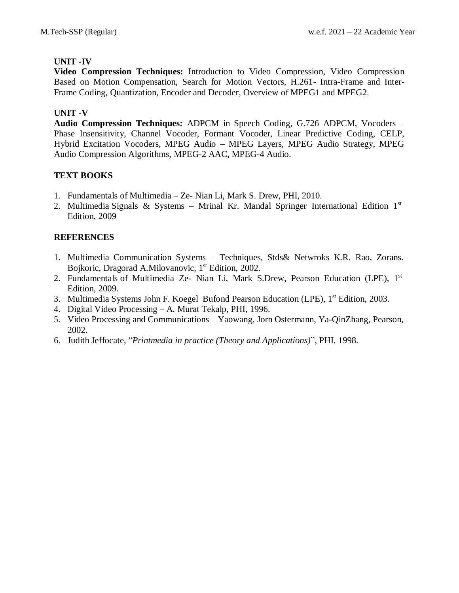# **UNIT -IV**

**Video Compression Techniques:** Introduction to Video Compression, Video Compression Based on Motion Compensation, Search for Motion Vectors, H.261- Intra-Frame and Inter-Frame Coding, Quantization, Encoder and Decoder, Overview of MPEG1 and MPEG2.

# **UNIT -V**

**Audio Compression Techniques:** ADPCM in Speech Coding, G.726 ADPCM, Vocoders – Phase Insensitivity, Channel Vocoder, Formant Vocoder, Linear Predictive Coding, CELP, Hybrid Excitation Vocoders, MPEG Audio – MPEG Layers, MPEG Audio Strategy, MPEG Audio Compression Algorithms, MPEG-2 AAC, MPEG-4 Audio.

# **TEXT BOOKS**

- 1. Fundamentals of Multimedia Ze- Nian Li, Mark S. Drew, PHI, 2010.
- 2. Multimedia Signals & Systems Mrinal Kr. Mandal Springer International Edition 1st Edition, 2009

- 1. Multimedia Communication Systems Techniques, Stds& Netwroks K.R. Rao, Zorans. Bojkoric, Dragorad A.Milovanovic, 1<sup>st</sup> Edition, 2002.
- 2. Fundamentals of Multimedia Ze- Nian Li, Mark S.Drew, Pearson Education (LPE), 1st Edition, 2009.
- 3. Multimedia Systems John F. Koegel Bufond Pearson Education (LPE), 1<sup>st</sup> Edition, 2003.
- 4. Digital Video Processing A. Murat Tekalp, PHI, 1996.
- 5. Video Processing and Communications Yaowang, Jorn Ostermann, Ya-QinZhang, Pearson, 2002.
- 6. Judith Jeffocate, "*Printmedia in practice (Theory and Applications)*", PHI, 1998.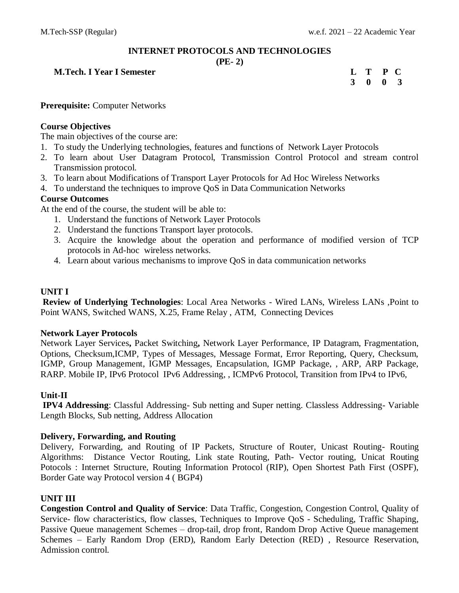# **INTERNET PROTOCOLS AND TECHNOLOGIES**

#### **(PE- 2)**

# **M.Tech. I Year I Semester**

| L | Т | P        | $\mathbf C$    |
|---|---|----------|----------------|
| 3 | 0 | $\bf{0}$ | $\overline{3}$ |

**Prerequisite:** Computer Networks

### **Course Objectives**

The main objectives of the course are:

- 1. To study the Underlying technologies, features and functions of Network Layer Protocols
- 2. To learn about User Datagram Protocol, Transmission Control Protocol and stream control Transmission protocol.
- 3. To learn about Modifications of Transport Layer Protocols for Ad Hoc Wireless Networks
- 4. To understand the techniques to improve QoS in Data Communication Networks

### **Course Outcomes**

At the end of the course, the student will be able to:

- 1. Understand the functions of Network Layer Protocols
- 2. Understand the functions Transport layer protocols.
- 3. Acquire the knowledge about the operation and performance of modified version of TCP protocols in Ad-hoc wireless networks.
- 4. Learn about various mechanisms to improve QoS in data communication networks

# **UNIT I**

**Review of Underlying Technologies**: Local Area Networks - Wired LANs, Wireless LANs ,Point to Point WANS, Switched WANS, X.25, Frame Relay , ATM, Connecting Devices

### **Network Layer Protocols**

Network Layer Services**,** Packet Switching**,** Network Layer Performance, IP Datagram, Fragmentation, Options, Checksum,ICMP, Types of Messages, Message Format, Error Reporting, Query, Checksum, IGMP, Group Management, IGMP Messages, Encapsulation, IGMP Package, , ARP, ARP Package, RARP. Mobile IP, IPv6 Protocol IPv6 Addressing, , ICMPv6 Protocol, Transition from IPv4 to IPv6,

### **Unit-II**

**IPV4 Addressing**: Classful Addressing- Sub netting and Super netting. Classless Addressing- Variable Length Blocks, Sub netting, Address Allocation

### **Delivery, Forwarding, and Routing**

Delivery, Forwarding, and Routing of IP Packets, Structure of Router, Unicast Routing- Routing Algorithms: Distance Vector Routing, Link state Routing, Path- Vector routing, Unicat Routing Potocols : Internet Structure, Routing Information Protocol (RIP), Open Shortest Path First (OSPF), Border Gate way Protocol version 4 ( BGP4)

### **UNIT III**

**Congestion Control and Quality of Service**: Data Traffic, Congestion, Congestion Control, Quality of Service- flow characteristics, flow classes, [Techniques to Improve QoS](http://accessengineeringlibrary.com/browse/data-communications-and-networking-fourth-edition/p2000f7cb9970761001#p2000f7cb9970776003) - Scheduling, Traffic Shaping, Passive Queue management Schemes – drop-tail, drop front, Random Drop Active Queue management Schemes – Early Random Drop (ERD), Random Early Detection (RED) , Resource Reservation, Admission control.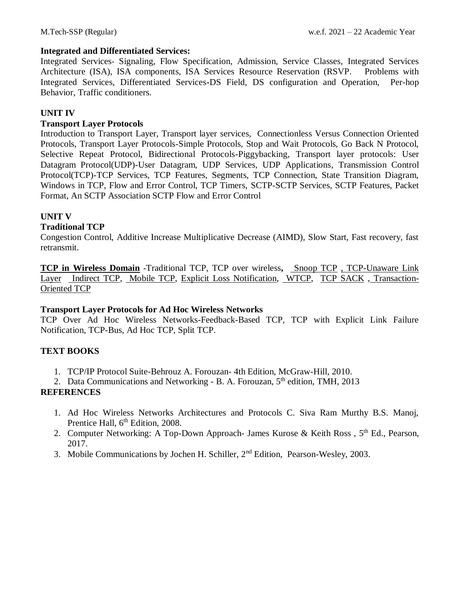#### **Integrated and Differentiated Services:**

Integrated Services- Signaling, Flow Specification, Admission, Service Classes, Integrated Services Architecture (ISA), ISA components, ISA Services Resource Reservation (RSVP. Problems with Integrated Services, Differentiated Services**-**DS Field, DS configuration and Operation, Per-hop Behavior, Traffic conditioners.

# **UNIT IV**

# **Transport Layer Protocols**

Introduction to Transport Layer, Transport layer services, Connectionless Versus Connection Oriented Protocols, Transport Layer Protocols-Simple Protocols, Stop and Wait Protocols, Go Back N Protocol, Selective Repeat Protocol, Bidirectional Protocols-Piggybacking, Transport layer protocols: User Datagram Protocol(UDP)-User Datagram, UDP Services, UDP Applications, Transmission Control Protocol(TCP)-TCP Services, TCP Features, Segments, TCP Connection, State Transition Diagram, Windows in TCP, Flow and Error Control, TCP Timers, SCTP-SCTP Services, SCTP Features, Packet Format, An SCTP Association SCTP Flow and Error Control

# **UNIT V**

### **Traditional TCP**

Congestion Control, Additive Increase Multiplicative Decrease (AIMD), Slow Start, Fast recovery, fast retransmit.

**[TCP in Wireless Domain](file:///C:/Users/ECEHOD~1/AppData/Local/Temp/Rar$DI00.110/TCP%20-IP%20%2013-8-2018.docx%23page190) -**Traditional TCP, TCP over wireless**,** [Snoop TCP](file:///C:/Users/ECEHOD~1/AppData/Local/Temp/Rar$DI00.110/TCP%20-IP%20%2013-8-2018.docx%23page193) [, TCP-Unaware Link](file:///C:/Users/ECEHOD~1/AppData/Local/Temp/Rar$DI00.110/TCP%20-IP%20%2013-8-2018.docx%23page193)  [Layer Indirect TCP,](file:///C:/Users/ECEHOD~1/AppData/Local/Temp/Rar$DI00.110/TCP%20-IP%20%2013-8-2018.docx%23page193) [Mobile TCP,](file:///C:/Users/ECEHOD~1/AppData/Local/Temp/Rar$DI00.110/TCP%20-IP%20%2013-8-2018.docx%23page194) [Explicit Loss Notification,](file:///C:/Users/ECEHOD~1/AppData/Local/Temp/Rar$DI00.110/TCP%20-IP%20%2013-8-2018.docx%23page194) [WTCP,](file:///C:/Users/ECEHOD~1/AppData/Local/Temp/Rar$DI00.110/TCP%20-IP%20%2013-8-2018.docx%23page195) [TCP SACK](file:///C:/Users/ECEHOD~1/AppData/Local/Temp/Rar$DI00.110/TCP%20-IP%20%2013-8-2018.docx%23page195) , [Transaction-](file:///C:/Users/ECEHOD~1/AppData/Local/Temp/Rar$DI00.110/TCP%20-IP%20%2013-8-2018.docx%23page195)[Oriented TCP](file:///C:/Users/ECEHOD~1/AppData/Local/Temp/Rar$DI00.110/TCP%20-IP%20%2013-8-2018.docx%23page195)

#### **Transport Layer Protocols for Ad Hoc Wireless Networks**

TCP Over Ad Hoc Wireless Networks-Feedback-Based TCP, TCP with Explicit Link Failure Notification, TCP-Bus, Ad Hoc TCP, Split TCP.

### **TEXT BOOKS**

- 1. TCP/IP Protocol Suite-Behrouz A. Forouzan- 4th Edition, McGraw-Hill, 2010.
- 2. Data Communications and Networking B. A. Forouzan, 5<sup>th</sup> edition, TMH, 2013

- 1. Ad Hoc Wireless Networks Architectures and Protocols C. Siva Ram Murthy B.S. Manoj, Prentice Hall, 6<sup>th</sup> Edition, 2008.
- 2. Computer Networking: A Top-Down Approach- James Kurose & Keith Ross, 5<sup>th</sup> Ed., Pearson, 2017.
- 3. Mobile Communications by Jochen H. Schiller, 2nd Edition, Pearson-Wesley, 2003.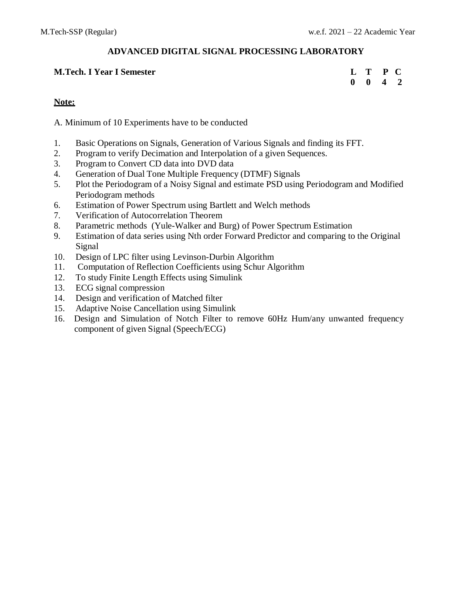# **ADVANCED DIGITAL SIGNAL PROCESSING LABORATORY**

# **M.Tech. I Year I Semester**

| L | Т | ${\bf P}$               | $\mathbf C$    |
|---|---|-------------------------|----------------|
| 0 | 0 | $\overline{\mathbf{4}}$ | $\overline{2}$ |

# **Note:**

A. Minimum of 10 Experiments have to be conducted

- 1. Basic Operations on Signals, Generation of Various Signals and finding its FFT.
- 2. Program to verify Decimation and Interpolation of a given Sequences.
- 3. Program to Convert CD data into DVD data
- 4. Generation of Dual Tone Multiple Frequency (DTMF) Signals
- 5. Plot the Periodogram of a Noisy Signal and estimate PSD using Periodogram and Modified Periodogram methods
- 6. Estimation of Power Spectrum using Bartlett and Welch methods
- 7. Verification of Autocorrelation Theorem
- 8. Parametric methods (Yule-Walker and Burg) of Power Spectrum Estimation
- 9. Estimation of data series using Nth order Forward Predictor and comparing to the Original Signal
- 10. Design of LPC filter using Levinson-Durbin Algorithm
- 11. Computation of Reflection Coefficients using Schur Algorithm
- 12. To study Finite Length Effects using Simulink
- 13. ECG signal compression
- 14. Design and verification of Matched filter
- 15. Adaptive Noise Cancellation using Simulink
- 16. Design and Simulation of Notch Filter to remove 60Hz Hum/any unwanted frequency component of given Signal (Speech/ECG)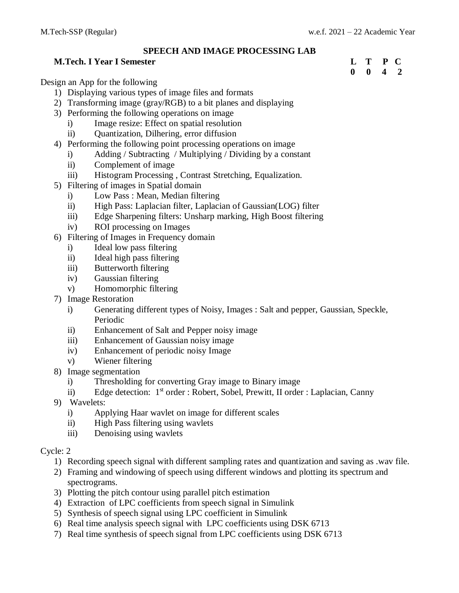# **SPEECH AND IMAGE PROCESSING LAB**

# **M.Tech. I Year I Semester L T P C**

**0 0 4 2**

Design an App for the following

- 1) Displaying various types of image files and formats
- 2) Transforming image (gray/RGB) to a bit planes and displaying
- 3) Performing the following operations on image
	- i) Image resize: Effect on spatial resolution
	- ii) Quantization, Dilhering, error diffusion
- 4) Performing the following point processing operations on image
	- i) Adding / Subtracting / Multiplying / Dividing by a constant
	- ii) Complement of image
	- iii) Histogram Processing , Contrast Stretching, Equalization.
- 5) Filtering of images in Spatial domain
	- i) Low Pass : Mean, Median filtering
	- ii) High Pass: Laplacian filter, Laplacian of Gaussian(LOG) filter
	- iii) Edge Sharpening filters: Unsharp marking, High Boost filtering
	- iv) ROI processing on Images
- 6) Filtering of Images in Frequency domain
	- i) Ideal low pass filtering
	- ii) Ideal high pass filtering
	- iii) Butterworth filtering
	- iv) Gaussian filtering
	- v) Homomorphic filtering
- 7) Image Restoration
	- i) Generating different types of Noisy, Images : Salt and pepper, Gaussian, Speckle, Periodic
	- ii) Enhancement of Salt and Pepper noisy image
	- iii) Enhancement of Gaussian noisy image
	- iv) Enhancement of periodic noisy Image
	- v) Wiener filtering
- 8) Image segmentation
	- i) Thresholding for converting Gray image to Binary image
	- ii) Edge detection: 1<sup>st</sup> order : Robert, Sobel, Prewitt, II order : Laplacian, Canny
- 9) Wavelets:
	- i) Applying Haar wavlet on image for different scales
	- ii) High Pass filtering using wavlets
	- iii) Denoising using wavlets

# Cycle: 2

- 1) Recording speech signal with different sampling rates and quantization and saving as .wav file.
- 2) Framing and windowing of speech using different windows and plotting its spectrum and spectrograms.
- 3) Plotting the pitch contour using parallel pitch estimation
- 4) Extraction of LPC coefficients from speech signal in Simulink
- 5) Synthesis of speech signal using LPC coefficient in Simulink
- 6) Real time analysis speech signal with LPC coefficients using DSK 6713
- 7) Real time synthesis of speech signal from LPC coefficients using DSK 6713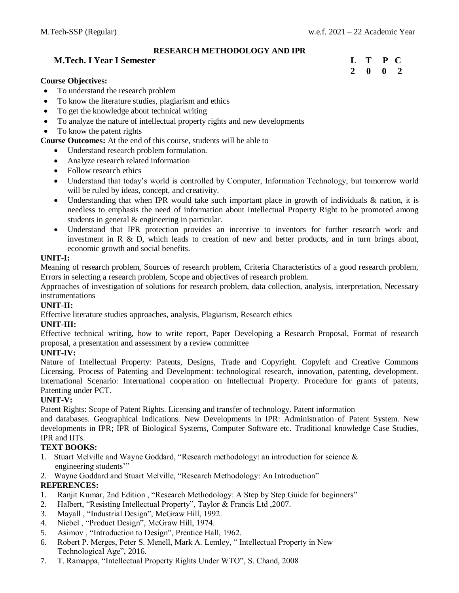#### **RESEARCH METHODOLOGY AND IPR**

#### **M.Tech. I Year I Semester L T P C**

#### **Course Objectives:**

- To understand the research problem
- To know the literature studies, plagiarism and ethics
- To get the knowledge about technical writing
- To analyze the nature of intellectual property rights and new developments
- To know the patent rights

**Course Outcomes:** At the end of this course, students will be able to

- Understand research problem formulation.
- Analyze research related information
- Follow research ethics
- Understand that today's world is controlled by Computer, Information Technology, but tomorrow world will be ruled by ideas, concept, and creativity.
- Understanding that when IPR would take such important place in growth of individuals & nation, it is needless to emphasis the need of information about Intellectual Property Right to be promoted among students in general & engineering in particular.
- Understand that IPR protection provides an incentive to inventors for further research work and investment in R & D, which leads to creation of new and better products, and in turn brings about, economic growth and social benefits.

#### **UNIT-I:**

Meaning of research problem, Sources of research problem, Criteria Characteristics of a good research problem, Errors in selecting a research problem, Scope and objectives of research problem.

Approaches of investigation of solutions for research problem, data collection, analysis, interpretation, Necessary instrumentations

#### **UNIT-II:**

Effective literature studies approaches, analysis, Plagiarism, Research ethics

#### **UNIT-III:**

Effective technical writing, how to write report, Paper Developing a Research Proposal, Format of research proposal, a presentation and assessment by a review committee

#### **UNIT-IV:**

Nature of Intellectual Property: Patents, Designs, Trade and Copyright. Copyleft and Creative Commons Licensing. Process of Patenting and Development: technological research, innovation, patenting, development. International Scenario: International cooperation on Intellectual Property. Procedure for grants of patents, Patenting under PCT.

#### **UNIT-V:**

Patent Rights: Scope of Patent Rights. Licensing and transfer of technology. Patent information

and databases. Geographical Indications. New Developments in IPR: Administration of Patent System. New developments in IPR; IPR of Biological Systems, Computer Software etc. Traditional knowledge Case Studies, IPR and IITs.

#### **TEXT BOOKS:**

- 1. Stuart Melville and Wayne Goddard, "Research methodology: an introduction for science & engineering students'"
- 2. Wayne Goddard and Stuart Melville, "Research Methodology: An Introduction"

### **REFERENCES:**

- 1. Ranjit Kumar, 2nd Edition , "Research Methodology: A Step by Step Guide for beginners"
- 2. Halbert, "Resisting Intellectual Property", Taylor & Francis Ltd ,2007.
- 3. Mayall , "Industrial Design", McGraw Hill, 1992.
- 4. Niebel , "Product Design", McGraw Hill, 1974.
- 5. Asimov , "Introduction to Design", Prentice Hall, 1962.
- 6. Robert P. Merges, Peter S. Menell, Mark A. Lemley, " Intellectual Property in New Technological Age", 2016.
- 7. T. Ramappa, "Intellectual Property Rights Under WTO", S. Chand, 2008

# **2 0 0 2**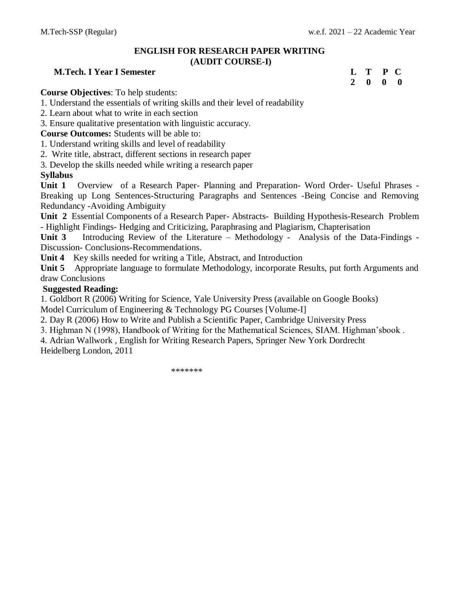# **ENGLISH FOR RESEARCH PAPER WRITING**

#### **(AUDIT COURSE-I)**

# **M.Tech. I Year I Semester L T P C**

**2 0 0 0**

**Course Objectives**: To help students:

1. Understand the essentials of writing skills and their level of readability

2. Learn about what to write in each section

3. Ensure qualitative presentation with linguistic accuracy.

**Course Outcomes:** Students will be able to:

1. Understand writing skills and level of readability

2. Write title, abstract, different sections in research paper

3. Develop the skills needed while writing a research paper

### **Syllabus**

**Unit 1** Overview of a Research Paper- Planning and Preparation- Word Order- Useful Phrases - Breaking up Long Sentences-Structuring Paragraphs and Sentences -Being Concise and Removing Redundancy -Avoiding Ambiguity

**Unit 2** Essential Components of a Research Paper- Abstracts- Building Hypothesis-Research Problem - Highlight Findings- Hedging and Criticizing, Paraphrasing and Plagiarism, Chapterisation

**Unit 3** Introducing Review of the Literature – Methodology - Analysis of the Data-Findings - Discussion- Conclusions-Recommendations.

**Unit 4** Key skills needed for writing a Title, Abstract, and Introduction

**Unit 5** Appropriate language to formulate Methodology, incorporate Results, put forth Arguments and draw Conclusions

# **Suggested Reading:**

1. Goldbort R (2006) Writing for Science, Yale University Press (available on Google Books) Model Curriculum of Engineering & Technology PG Courses [Volume-I]

2. Day R (2006) How to Write and Publish a Scientific Paper, Cambridge University Press

3. Highman N (1998), Handbook of Writing for the Mathematical Sciences, SIAM. Highman'sbook .

4. Adrian Wallwork , English for Writing Research Papers, Springer New York Dordrecht Heidelberg London, 2011

\*\*\*\*\*\*\*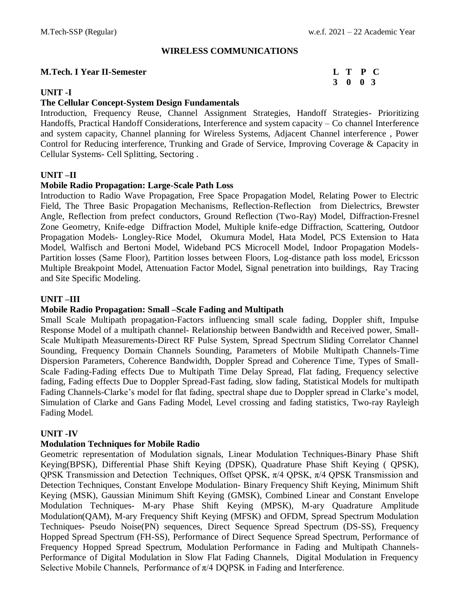#### **WIRELESS COMMUNICATIONS**

#### **M.Tech. I Year II-Semester**

# **UNIT -I**

### **The Cellular Concept-System Design Fundamentals**

Introduction, Frequency Reuse, Channel Assignment Strategies, Handoff Strategies- Prioritizing Handoffs, Practical Handoff Considerations, Interference and system capacity – Co channel Interference and system capacity, Channel planning for Wireless Systems, Adjacent Channel interference , Power Control for Reducing interference, Trunking and Grade of Service, Improving Coverage & Capacity in Cellular Systems- Cell Splitting, Sectoring .

### **UNIT –II**

#### **Mobile Radio Propagation: Large-Scale Path Loss**

Introduction to Radio Wave Propagation, Free Space Propagation Model, Relating Power to Electric Field, The Three Basic Propagation Mechanisms, Reflection-Reflection from Dielectrics, Brewster Angle, Reflection from prefect conductors, Ground Reflection (Two-Ray) Model, Diffraction-Fresnel Zone Geometry, Knife-edge Diffraction Model, Multiple knife-edge Diffraction, Scattering, Outdoor Propagation Models- Longley-Rice Model, Okumura Model, Hata Model, PCS Extension to Hata Model, Walfisch and Bertoni Model, Wideband PCS Microcell Model, Indoor Propagation Models-Partition losses (Same Floor), Partition losses between Floors, Log-distance path loss model, Ericsson Multiple Breakpoint Model, Attenuation Factor Model, Signal penetration into buildings, Ray Tracing and Site Specific Modeling.

### **UNIT –III**

### **Mobile Radio Propagation: Small –Scale Fading and Multipath**

Small Scale Multipath propagation-Factors influencing small scale fading, Doppler shift, Impulse Response Model of a multipath channel- Relationship between Bandwidth and Received power, Small-Scale Multipath Measurements-Direct RF Pulse System, Spread Spectrum Sliding Correlator Channel Sounding, Frequency Domain Channels Sounding, Parameters of Mobile Multipath Channels-Time Dispersion Parameters, Coherence Bandwidth, Doppler Spread and Coherence Time, Types of Small-Scale Fading-Fading effects Due to Multipath Time Delay Spread, Flat fading, Frequency selective fading, Fading effects Due to Doppler Spread-Fast fading, slow fading, Statistical Models for multipath Fading Channels-Clarke's model for flat fading, spectral shape due to Doppler spread in Clarke's model, Simulation of Clarke and Gans Fading Model, Level crossing and fading statistics, Two-ray Rayleigh Fading Model.

### **UNIT -IV**

### **Modulation Techniques for Mobile Radio**

Geometric representation of Modulation signals, Linear Modulation Techniques**-**Binary Phase Shift Keying(BPSK), Differential Phase Shift Keying (DPSK), Quadrature Phase Shift Keying ( QPSK), QPSK Transmission and Detection Techniques, Offset QPSK,  $\pi/4$  QPSK,  $\pi/4$  QPSK Transmission and Detection Techniques, Constant Envelope Modulation- Binary Frequency Shift Keying, Minimum Shift Keying (MSK), Gaussian Minimum Shift Keying (GMSK), Combined Linear and Constant Envelope Modulation Techniques- M-ary Phase Shift Keying (MPSK), M-ary Quadrature Amplitude Modulation(QAM), M-ary Frequency Shift Keying (MFSK) and OFDM, Spread Spectrum Modulation Techniques- Pseudo Noise(PN) sequences, Direct Sequence Spread Spectrum (DS-SS), Frequency Hopped Spread Spectrum (FH-SS), Performance of Direct Sequence Spread Spectrum, Performance of Frequency Hopped Spread Spectrum, Modulation Performance in Fading and Multipath Channels-Performance of Digital Modulation in Slow Flat Fading Channels, Digital Modulation in Frequency Selective Mobile Channels, Performance of  $\pi/4$  DQPSK in Fading and Interference.

|                             |  | L T P C |
|-----------------------------|--|---------|
| $3 \quad 0 \quad 0 \quad 3$ |  |         |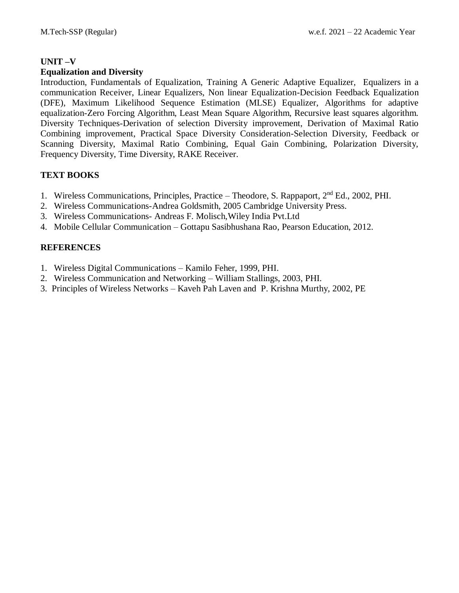# **UNIT –V**

# **Equalization and Diversity**

Introduction, Fundamentals of Equalization, Training A Generic Adaptive Equalizer, Equalizers in a communication Receiver, Linear Equalizers, Non linear Equalization-Decision Feedback Equalization (DFE), Maximum Likelihood Sequence Estimation (MLSE) Equalizer, Algorithms for adaptive equalization-Zero Forcing Algorithm, Least Mean Square Algorithm, Recursive least squares algorithm. Diversity Techniques-Derivation of selection Diversity improvement, Derivation of Maximal Ratio Combining improvement, Practical Space Diversity Consideration-Selection Diversity, Feedback or Scanning Diversity, Maximal Ratio Combining, Equal Gain Combining, Polarization Diversity, Frequency Diversity, Time Diversity, RAKE Receiver.

# **TEXT BOOKS**

- 1. Wireless Communications, Principles, Practice Theodore, S. Rappaport, 2nd Ed., 2002, PHI.
- 2. Wireless Communications-Andrea Goldsmith, 2005 Cambridge University Press.
- 3. Wireless Communications- Andreas F. Molisch,Wiley India Pvt.Ltd
- 4. Mobile Cellular Communication Gottapu Sasibhushana Rao, Pearson Education, 2012.

- 1. Wireless Digital Communications Kamilo Feher, 1999, PHI.
- 2. Wireless Communication and Networking William Stallings, 2003, PHI.
- 3. Principles of Wireless Networks Kaveh Pah Laven and P. Krishna Murthy, 2002, PE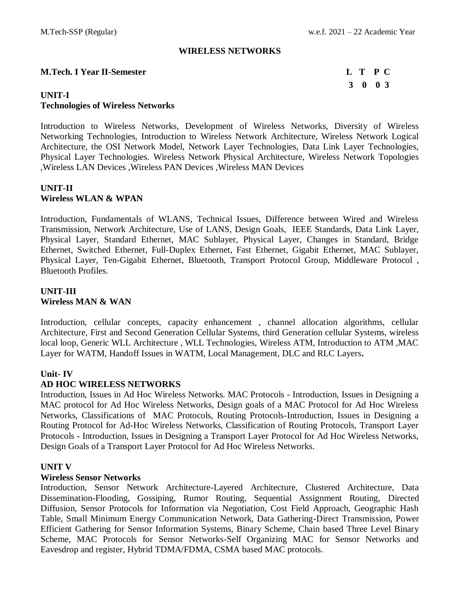#### **WIRELESS NETWORKS**

#### **M.Tech. I Year II-Semester L T P C**

# **3 0 0 3**

# **UNIT-I Technologies of Wireless Networks**

Introduction to Wireless Networks, Development of Wireless Networks, Diversity of Wireless Networking Technologies, Introduction to Wireless Network Architecture, Wireless Network Logical Architecture, the OSI Network Model, Network Layer Technologies, Data Link Layer Technologies, Physical Layer Technologies. Wireless Network Physical Architecture, Wireless Network Topologies ,Wireless LAN Devices ,Wireless PAN Devices ,Wireless MAN Devices

# **UNIT-II Wireless WLAN & WPAN**

Introduction, Fundamentals of WLANS, Technical Issues, Difference between Wired and Wireless Transmission, Network Architecture, Use of LANS, Design Goals, IEEE Standards, Data Link Layer, Physical Layer, Standard Ethernet, MAC Sublayer, Physical Layer, Changes in Standard, Bridge Ethernet, Switched Ethernet, Full-Duplex Ethernet, Fast Ethernet, Gigabit Ethernet, MAC Sublayer, Physical Layer, Ten-Gigabit Ethernet, Bluetooth, Transport Protocol Group, Middleware Protocol , Bluetooth Profiles.

# **UNIT-III Wireless MAN & WAN**

Introduction, cellular concepts, capacity enhancement , channel allocation algorithms, cellular Architecture, First and Second Generation Cellular Systems, third Generation cellular Systems, wireless local loop, Generic WLL Architecture , WLL Technologies, Wireless ATM, Introduction to ATM ,MAC Layer for WATM, Handoff Issues in WATM, Local Management, DLC and RLC Layers**.** 

# **Unit- IV**

# **AD HOC WIRELESS NETWORKS**

Introduction, Issues in Ad Hoc Wireless Networks. MAC Protocols - Introduction, Issues in Designing a MAC protocol for Ad Hoc Wireless Networks, Design goals of a MAC Protocol for Ad Hoc Wireless Networks, Classifications of MAC Protocols, Routing Protocols-Introduction, Issues in Designing a Routing Protocol for Ad-Hoc Wireless Networks, Classification of Routing Protocols, Transport Layer Protocols - Introduction, Issues in Designing a Transport Layer Protocol for Ad Hoc Wireless Networks, Design Goals of a Transport Layer Protocol for Ad Hoc Wireless Networks.

# **UNIT V**

### **Wireless Sensor Networks**

Introduction, Sensor Network Architecture-Layered Architecture, Clustered Architecture, Data Dissemination-Flooding, Gossiping, Rumor Routing, Sequential Assignment Routing, Directed Diffusion, Sensor Protocols for Information via Negotiation, Cost Field Approach, Geographic Hash Table, Small Minimum Energy Communication Network, Data Gathering-Direct Transmission, Power Efficient Gathering for Sensor Information Systems, Binary Scheme, Chain based Three Level Binary Scheme, MAC Protocols for Sensor Networks-Self Organizing MAC for Sensor Networks and Eavesdrop and register, Hybrid TDMA/FDMA, CSMA based MAC protocols.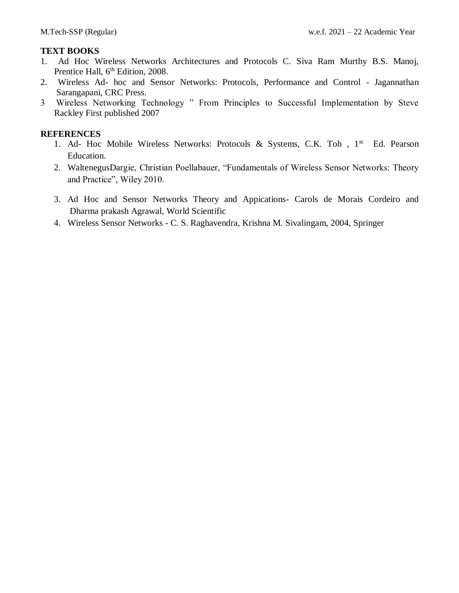# **TEXT BOOKS**

- 1. Ad Hoc Wireless Networks Architectures and Protocols C. Siva Ram Murthy B.S. Manoj, Prentice Hall,  $6<sup>th</sup>$  Edition, 2008.
- 2. Wireless Ad- hoc and Sensor Networks: Protocols, Performance and Control Jagannathan Sarangapani, CRC Press.
- 3 Wireless Networking Technology " From Principles to Successful Implementation by Steve Rackley First published 2007

- 1. Ad- Hoc Mobile Wireless Networks: Protocols & Systems, C.K. Toh, 1<sup>st</sup> Ed. Pearson Education.
- 2. WaltenegusDargie, Christian Poellabauer, "Fundamentals of Wireless Sensor Networks: Theory and Practice", Wiley 2010.
- 3. Ad Hoc and Sensor Networks Theory and Appications- Carols de Morais Cordeiro and Dharma prakash Agrawal, World Scientific
- 4. Wireless Sensor Networks C. S. Raghavendra, Krishna M. Sivalingam, 2004, Springer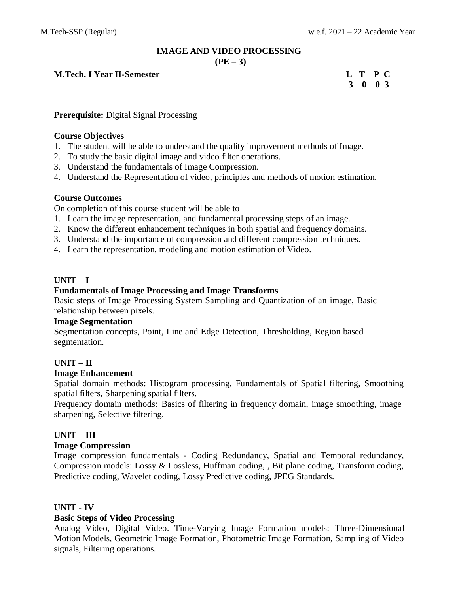# **IMAGE AND VIDEO PROCESSING**

 $(PE - 3)$ 

**M.Tech. I Year II-Semester L T P C**

# **3 0 0 3**

# **Prerequisite:** Digital Signal Processing

# **Course Objectives**

- 1. The student will be able to understand the quality improvement methods of Image.
- 2. To study the basic digital image and video filter operations.
- 3. Understand the fundamentals of Image Compression.
- 4. Understand the Representation of video, principles and methods of motion estimation.

### **Course Outcomes**

On completion of this course student will be able to

- 1. Learn the image representation, and fundamental processing steps of an image.
- 2. Know the different enhancement techniques in both spatial and frequency domains.
- 3. Understand the importance of compression and different compression techniques.
- 4. Learn the representation, modeling and motion estimation of Video.

# **UNIT – I**

# **Fundamentals of Image Processing and Image Transforms**

Basic steps of Image Processing System Sampling and Quantization of an image, Basic relationship between pixels.

# **Image Segmentation**

Segmentation concepts, Point, Line and Edge Detection, Thresholding, Region based segmentation.

# **UNIT – II**

### **Image Enhancement**

Spatial domain methods: Histogram processing, Fundamentals of Spatial filtering, Smoothing spatial filters, Sharpening spatial filters.

Frequency domain methods: Basics of filtering in frequency domain, image smoothing, image sharpening, Selective filtering.

# **UNIT – III**

### **Image Compression**

Image compression fundamentals - Coding Redundancy, Spatial and Temporal redundancy, Compression models: Lossy & Lossless, Huffman coding, , Bit plane coding, Transform coding, Predictive coding, Wavelet coding, Lossy Predictive coding, JPEG Standards.

### **UNIT - IV**

### **Basic Steps of Video Processing**

Analog Video, Digital Video. Time-Varying Image Formation models: Three-Dimensional Motion Models, Geometric Image Formation, Photometric Image Formation, Sampling of Video signals, Filtering operations.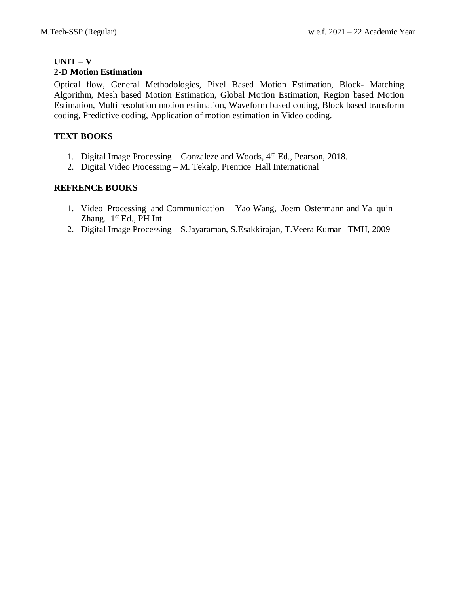#### **UNIT – V 2-D Motion Estimation**

Optical flow, General Methodologies, Pixel Based Motion Estimation, Block- Matching Algorithm, Mesh based Motion Estimation, Global Motion Estimation, Region based Motion Estimation, Multi resolution motion estimation, Waveform based coding, Block based transform coding, Predictive coding, Application of motion estimation in Video coding.

# **TEXT BOOKS**

- 1. Digital Image Processing Gonzaleze and Woods, 4<sup>rd</sup> Ed., Pearson, 2018.
- 2. Digital Video Processing M. Tekalp, Prentice Hall International

# **REFRENCE BOOKS**

- 1. Video Processing and Communication Yao Wang, Joem Ostermann and Ya–quin Zhang.  $1<sup>st</sup> Ed.$ , PH Int.
- 2. Digital Image Processing S.Jayaraman, S.Esakkirajan, T.Veera Kumar –TMH, 2009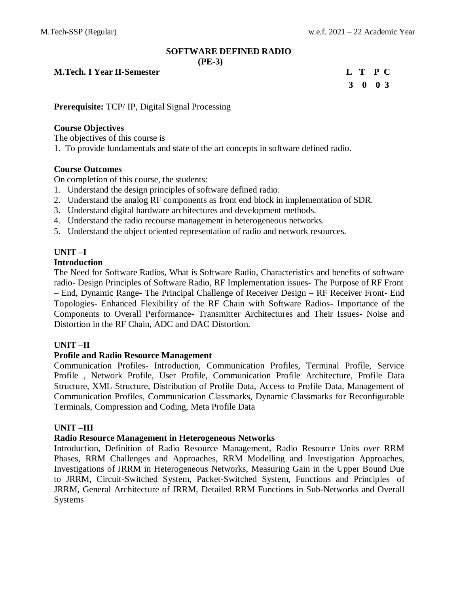# **SOFTWARE DEFINED RADIO**

**(PE-3)**

**M.Tech. I Year II-Semester L T P C**

**3 0 0 3**

**Prerequisite:** TCP/ IP, Digital Signal Processing

# **Course Objectives**

The objectives of this course is

1. To provide fundamentals and state of the art concepts in software defined radio.

# **Course Outcomes**

On completion of this course, the students:

- 1. Understand the design principles of software defined radio.
- 2. Understand the analog RF components as front end block in implementation of SDR.
- 3. Understand digital hardware architectures and development methods.
- 4. Understand the radio recourse management in heterogeneous networks.
- 5. Understand the object oriented representation of radio and network resources.

# **UNIT –I**

### **Introduction**

The Need for Software Radios, What is Software Radio, Characteristics and benefits of software radio- Design Principles of Software Radio, RF Implementation issues- The Purpose of RF Front – End, Dynamic Range- The Principal Challenge of Receiver Design – RF Receiver Front- End Topologies- Enhanced Flexibility of the RF Chain with Software Radios- Importance of the Components to Overall Performance- Transmitter Architectures and Their Issues- Noise and Distortion in the RF Chain, ADC and DAC Distortion.

# **UNIT –II**

### **Profile and Radio Resource Management**

Communication Profiles- Introduction, Communication Profiles, Terminal Profile, Service Profile , Network Profile, User Profile, Communication Profile Architecture, Profile Data Structure, XML Structure, Distribution of Profile Data, Access to Profile Data, Management of Communication Profiles, Communication Classmarks, Dynamic Classmarks for Reconfigurable Terminals, Compression and Coding, Meta Profile Data

### **UNIT –III**

### **Radio Resource Management in Heterogeneous Networks**

Introduction, Definition of Radio Resource Management, Radio Resource Units over RRM Phases, RRM Challenges and Approaches, RRM Modelling and Investigation Approaches, Investigations of JRRM in Heterogeneous Networks, Measuring Gain in the Upper Bound Due to JRRM, Circuit-Switched System, Packet-Switched System, Functions and Principles of JRRM, General Architecture of JRRM, Detailed RRM Functions in Sub-Networks and Overall Systems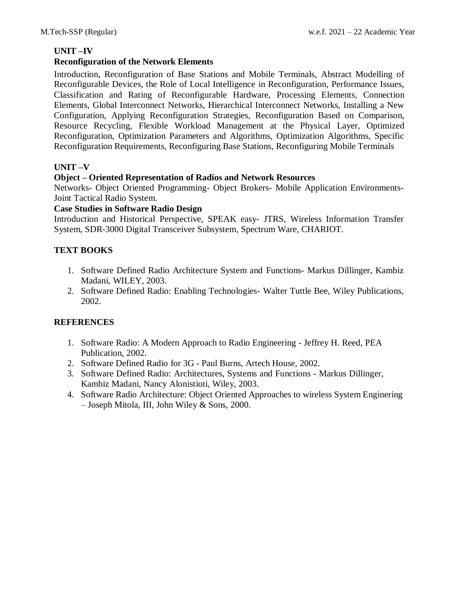# **UNIT –IV**

# **Reconfiguration of the Network Elements**

Introduction, Reconfiguration of Base Stations and Mobile Terminals, Abstract Modelling of Reconfigurable Devices, the Role of Local Intelligence in Reconfiguration, Performance Issues, Classification and Rating of Reconfigurable Hardware, Processing Elements, Connection Elements, Global Interconnect Networks, Hierarchical Interconnect Networks, Installing a New Configuration, Applying Reconfiguration Strategies, Reconfiguration Based on Comparison, Resource Recycling, Flexible Workload Management at the Physical Layer, Optimized Reconfiguration, Optimization Parameters and Algorithms, Optimization Algorithms, Specific Reconfiguration Requirements, Reconfiguring Base Stations, Reconfiguring Mobile Terminals

# **UNIT –V**

# **Object – Oriented Representation of Radios and Network Resources**

Networks- Object Oriented Programming- Object Brokers- Mobile Application Environments-Joint Tactical Radio System.

# **Case Studies in Software Radio Design**

Introduction and Historical Perspective, SPEAK easy- JTRS, Wireless Information Transfer System, SDR-3000 Digital Transceiver Subsystem, Spectrum Ware, CHARIOT.

# **TEXT BOOKS**

- 1. Software Defined Radio Architecture System and Functions- Markus Dillinger, Kambiz Madani, WILEY, 2003.
- 2. Software Defined Radio: Enabling Technologies- Walter Tuttle Bee, Wiley Publications, 2002.

- 1. Software Radio: A Modern Approach to Radio Engineering Jeffrey H. Reed, PEA Publication, 2002.
- 2. Software Defined Radio for 3G Paul Burns, Artech House, 2002.
- 3. Software Defined Radio: Architectures, Systems and Functions Markus Dillinger, Kambiz Madani, Nancy Alonistioti, Wiley, 2003.
- 4. Software Radio Architecture: Object Oriented Approaches to wireless System Enginering – Joseph Mitola, III, John Wiley & Sons, 2000.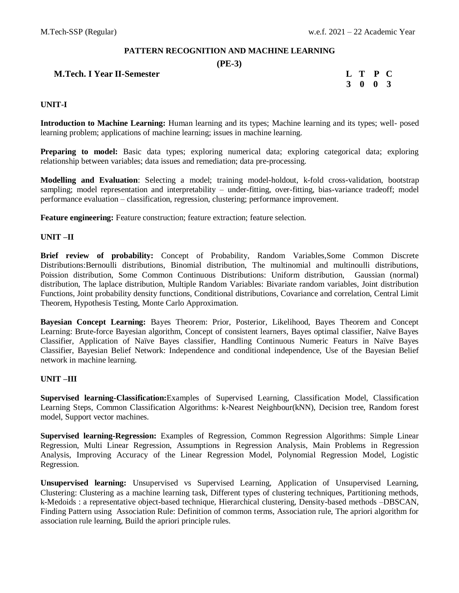#### **PATTERN RECOGNITION AND MACHINE LEARNING**

#### **(PE-3)**

# **M.Tech. I Year II-Semester L T P C**

# **3 0 0 3**

#### **UNIT-I**

**Introduction to Machine Learning:** Human learning and its types; Machine learning and its types; well- posed learning problem; applications of machine learning; issues in machine learning.

**Preparing to model:** Basic data types; exploring numerical data; exploring categorical data; exploring relationship between variables; data issues and remediation; data pre-processing.

**Modelling and Evaluation**: Selecting a model; training model-holdout, k-fold cross-validation, bootstrap sampling; model representation and interpretability – under-fitting, over-fitting, bias-variance tradeoff; model performance evaluation – classification, regression, clustering; performance improvement.

**Feature engineering:** Feature construction; feature extraction; feature selection.

#### **UNIT –II**

**Brief review of probability:** Concept of Probability, Random Variables,Some Common Discrete Distributions:Bernoulli distributions, Binomial distribution, The multinomial and multinoulli distributions, Poission distribution, Some Common Continuous Distributions: Uniform distribution, Gaussian (normal) distribution, The laplace distribution, Multiple Random Variables: Bivariate random variables, Joint distribution Functions, Joint probability density functions, Conditional distributions, Covariance and correlation, Central Limit Theorem, Hypothesis Testing, Monte Carlo Approximation.

**Bayesian Concept Learning:** Bayes Theorem: Prior, Posterior, Likelihood, Bayes Theorem and Concept Learning: Brute-force Bayesian algorithm, Concept of consistent learners, Bayes optimal classifier, Naïve Bayes Classifier, Application of Naïve Bayes classifier, Handling Continuous Numeric Featurs in Naïve Bayes Classifier, Bayesian Belief Network: Independence and conditional independence, Use of the Bayesian Belief network in machine learning.

#### **UNIT –III**

**Supervised learning-Classification:**Examples of Supervised Learning, Classification Model, Classification Learning Steps, Common Classification Algorithms: k-Nearest Neighbour(kNN), Decision tree, Random forest model, Support vector machines.

**Supervised learning-Regression:** Examples of Regression, Common Regression Algorithms: Simple Linear Regression, Multi Linear Regression, Assumptions in Regression Analysis, Main Problems in Regression Analysis, Improving Accuracy of the Linear Regression Model, Polynomial Regression Model, Logistic Regression.

**Unsupervised learning:** Unsupervised vs Supervised Learning, Application of Unsupervised Learning, Clustering: Clustering as a machine learning task, Different types of clustering techniques, Partitioning methods, k-Medoids : a representative object-based technique, Hierarchical clustering, Density-based methods –DBSCAN, Finding Pattern using Association Rule: Definition of common terms, Association rule, The apriori algorithm for association rule learning, Build the apriori principle rules.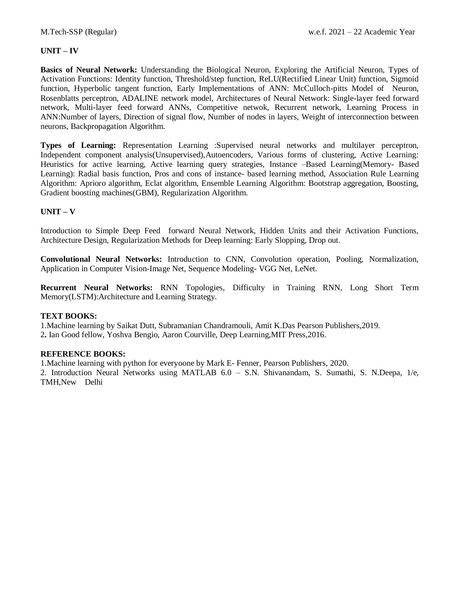#### **UNIT – IV**

**Basics of Neural Network:** Understanding the Biological Neuron, Exploring the Artificial Neuron, Types of Activation Functions: Identity function, Threshold/step function, ReLU(Rectified Linear Unit) function, Sigmoid function, Hyperbolic tangent function, Early Implementations of ANN: McCulloch-pitts Model of Neuron, Rosenblatts perceptron, ADALINE network model, Architectures of Neural Network: Single-layer feed forward network, Multi-layer feed forward ANNs, Competitive netwok, Recurrent network, Learning Process in ANN:Number of layers, Direction of signal flow, Number of nodes in layers, Weight of interconnection between neurons, Backpropagation Algorithm.

**Types of Learning:** Representation Learning :Supervised neural networks and multilayer perceptron, Independent component analysis(Unsupervised),Autoencoders, Various forms of clustering, Active Learning: Heuristics for active learning, Active learning query strategies, Instance –Based Learning(Memory- Based Learning): Radial basis function, Pros and cons of instance- based learning method, Association Rule Learning Algorithm: Aprioro algorithm, Eclat algorithm, Ensemble Learning Algorithm: Bootstrap aggregation, Boosting, Gradient boosting machines(GBM), Regularization Algorithm.

#### **UNIT – V**

Introduction to Simple Deep Feed forward Neural Network, Hidden Units and their Activation Functions, Architecture Design, Regularization Methods for Deep learning: Early Slopping, Drop out.

**Convolutional Neural Networks:** Introduction to CNN, Convolution operation, Pooling, Normalization, Application in Computer Vision-Image Net, Sequence Modeling- VGG Net, LeNet.

**Recurrent Neural Networks:** RNN Topologies, Difficulty in Training RNN, Long Short Term Memory(LSTM):Architecture and Learning Strategy.

#### **TEXT BOOKS:**

1.Machine learning by Saikat Dutt, Subramanian Chandramouli, Amit K.Das Pearson Publishers,2019. 2**.** Ian Good fellow, Yoshva Bengio, Aaron Courville, Deep Learning,MIT Press,2016.

#### **REFERENCE BOOKS:**

1.Machine learning with python for everyoone by Mark E- Fenner, Pearson Publishers, 2020.

2. Introduction Neural Networks using MATLAB 6.0 – S.N. Shivanandam, S. Sumathi, S. N.Deepa, 1/e, TMH,New Delhi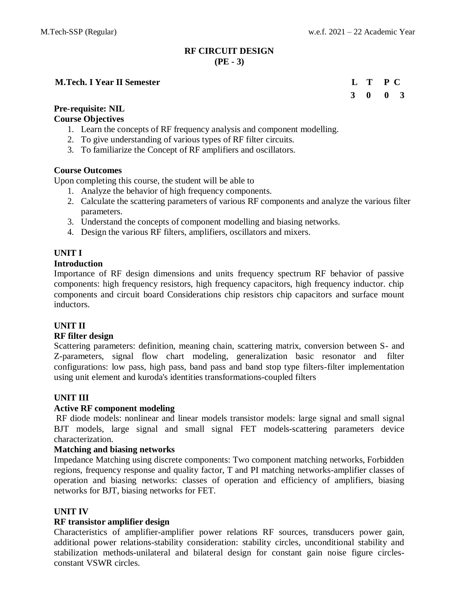# **RF CIRCUIT DESIGN (PE - 3)**

# **M.Tech. I Year II Semester L T P C**

# **3 0 0 3**

# **Pre-requisite: NIL**

# **Course Objectives**

- 1. Learn the concepts of RF frequency analysis and component modelling.
- 2. To give understanding of various types of RF filter circuits.
- 3. To familiarize the Concept of RF amplifiers and oscillators.

# **Course Outcomes**

Upon completing this course, the student will be able to

- 1. Analyze the behavior of high frequency components.
- 2. Calculate the scattering parameters of various RF components and analyze the various filter parameters.
- 3. Understand the concepts of component modelling and biasing networks.
- 4. Design the various RF filters, amplifiers, oscillators and mixers.

# **UNIT I**

# **Introduction**

Importance of RF design dimensions and units frequency spectrum RF behavior of passive components: high frequency resistors, high frequency capacitors, high frequency inductor. chip components and circuit board Considerations chip resistors chip capacitors and surface mount inductors.

# **UNIT II**

# **RF filter design**

Scattering parameters: definition, meaning chain, scattering matrix, conversion between S- and Z-parameters, signal flow chart modeling, generalization basic resonator and filter configurations: low pass, high pass, band pass and band stop type filters-filter implementation using unit element and kuroda's identities transformations-coupled filters

# **UNIT III**

# **Active RF component modeling**

RF diode models: nonlinear and linear models transistor models: large signal and small signal BJT models, large signal and small signal FET models-scattering parameters device characterization.

# **Matching and biasing networks**

Impedance Matching using discrete components: Two component matching networks, Forbidden regions, frequency response and quality factor, T and PI matching networks-amplifier classes of operation and biasing networks: classes of operation and efficiency of amplifiers, biasing networks for BJT, biasing networks for FET.

# **UNIT IV**

# **RF transistor amplifier design**

Characteristics of amplifier-amplifier power relations RF sources, transducers power gain, additional power relations-stability consideration: stability circles, unconditional stability and stabilization methods-unilateral and bilateral design for constant gain noise figure circlesconstant VSWR circles.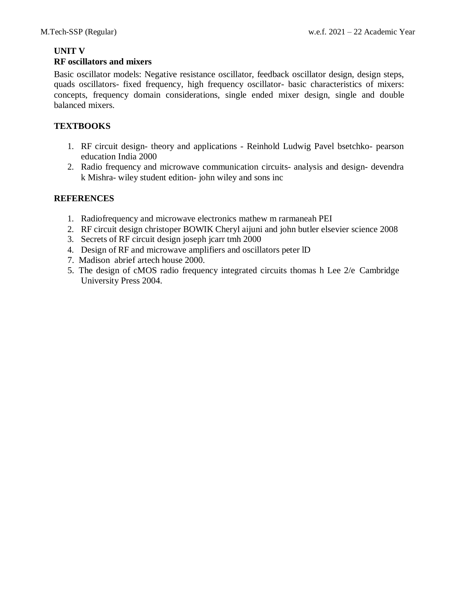# **UNIT V**

# **RF oscillators and mixers**

Basic oscillator models: Negative resistance oscillator, feedback oscillator design, design steps, quads oscillators- fixed frequency, high frequency oscillator- basic characteristics of mixers: concepts, frequency domain considerations, single ended mixer design, single and double balanced mixers.

# **TEXTBOOKS**

- 1. RF circuit design- theory and applications Reinhold Ludwig Pavel bsetchko- pearson education India 2000
- 2. Radio frequency and microwave communication circuits- analysis and design- devendra k Mishra- wiley student edition- john wiley and sons inc

- 1. Radiofrequency and microwave electronics mathew m rarmaneah PEI
- 2. RF circuit design christoper BOWIK Cheryl aijuni and john butler elsevier science 2008
- 3. Secrets of RF circuit design joseph jcarr tmh 2000
- 4. Design of RF and microwave amplifiers and oscillators peter lD
- 7. Madison abrief artech house 2000.
- 5. The design of cMOS radio frequency integrated circuits thomas h Lee 2/e Cambridge University Press 2004.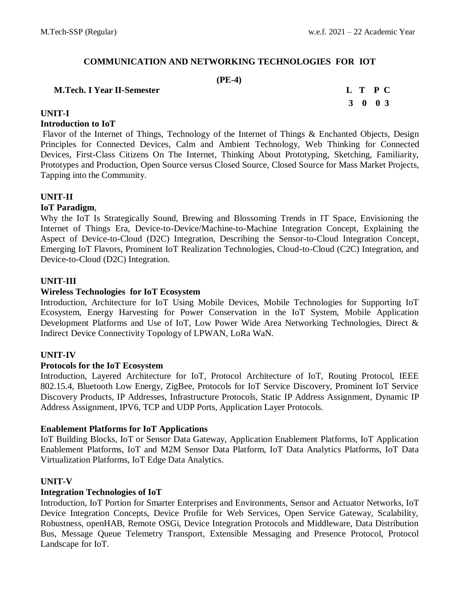# **COMMUNICATION AND NETWORKING TECHNOLOGIES FOR IOT**

#### **(PE-4)**

#### **M.Tech. I Year II-Semester L T P C**

# **3 0 0 3**

# **UNIT-I**

### **Introduction to IoT**

Flavor of the Internet of Things, Technology of the Internet of Things & Enchanted Objects, Design Principles for Connected Devices, Calm and Ambient Technology, Web Thinking for Connected Devices, First-Class Citizens On The Internet, Thinking About Prototyping, Sketching, Familiarity, Prototypes and Production, Open Source versus Closed Source, Closed Source for Mass Market Projects, Tapping into the Community.

# **UNIT-II**

# **IoT Paradigm**,

Why the IoT Is Strategically Sound, Brewing and Blossoming Trends in IT Space, Envisioning the Internet of Things Era, Device-to-Device/Machine-to-Machine Integration Concept, Explaining the Aspect of Device-to-Cloud (D2C) Integration, Describing the Sensor-to-Cloud Integration Concept, Emerging IoT Flavors, Prominent IoT Realization Technologies, Cloud-to-Cloud (C2C) Integration, and Device-to-Cloud (D2C) Integration.

# **UNIT-III**

# **Wireless Technologies for IoT Ecosystem**

Introduction, Architecture for IoT Using Mobile Devices, Mobile Technologies for Supporting IoT Ecosystem, Energy Harvesting for Power Conservation in the IoT System, Mobile Application Development Platforms and Use of IoT, Low Power Wide Area Networking Technologies, Direct & Indirect Device Connectivity Topology of LPWAN, LoRa WaN.

### **UNIT-IV**

### **Protocols for the IoT Ecosystem**

Introduction, Layered Architecture for IoT, Protocol Architecture of IoT, Routing Protocol, IEEE 802.15.4, Bluetooth Low Energy, ZigBee, Protocols for IoT Service Discovery, Prominent IoT Service Discovery Products, IP Addresses, Infrastructure Protocols, Static IP Address Assignment, Dynamic IP Address Assignment, IPV6, TCP and UDP Ports, Application Layer Protocols.

### **Enablement Platforms for IoT Applications**

IoT Building Blocks, IoT or Sensor Data Gateway, Application Enablement Platforms, IoT Application Enablement Platforms, IoT and M2M Sensor Data Platform, IoT Data Analytics Platforms, IoT Data Virtualization Platforms, IoT Edge Data Analytics.

### **UNIT-V**

### **Integration Technologies of IoT**

Introduction, IoT Portion for Smarter Enterprises and Environments, Sensor and Actuator Networks, IoT Device Integration Concepts, Device Profile for Web Services, Open Service Gateway, Scalability, Robustness, openHAB, Remote OSGi, Device Integration Protocols and Middleware, Data Distribution Bus, Message Queue Telemetry Transport, Extensible Messaging and Presence Protocol, Protocol Landscape for IoT.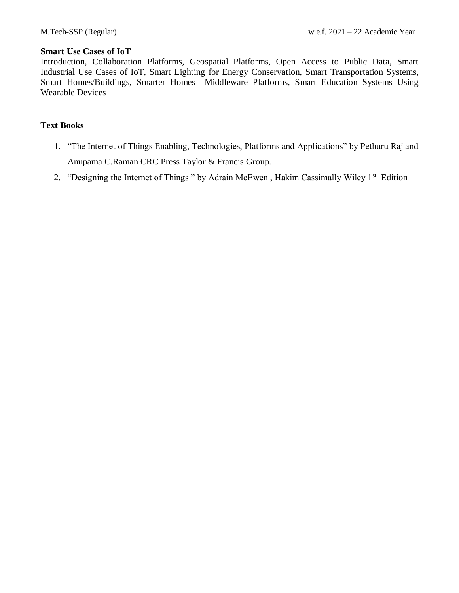#### **Smart Use Cases of IoT**

Introduction, Collaboration Platforms, Geospatial Platforms, Open Access to Public Data, Smart Industrial Use Cases of IoT, Smart Lighting for Energy Conservation, Smart Transportation Systems, Smart Homes/Buildings, Smarter Homes—Middleware Platforms, Smart Education Systems Using Wearable Devices

#### **Text Books**

- 1. "The Internet of Things Enabling, Technologies, Platforms and Applications" by Pethuru Raj and Anupama C.Raman CRC Press Taylor & Francis Group.
- 2. "Designing the Internet of Things" by Adrain McEwen, Hakim Cassimally Wiley 1<sup>st</sup> Edition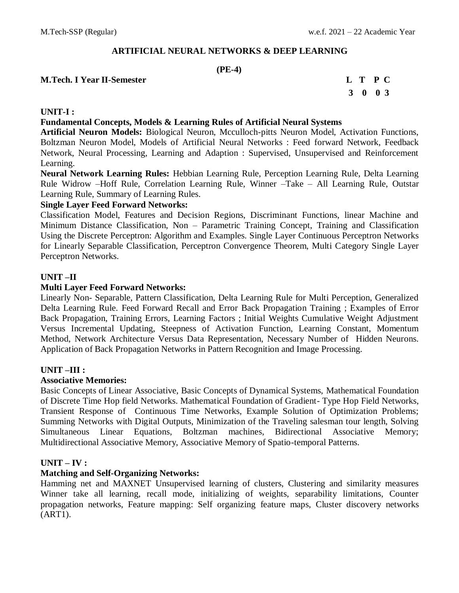# **ARTIFICIAL NEURAL NETWORKS & DEEP LEARNING**

# **(PE-4)**

# **M.Tech. I Year II-Semester L T P C**

# **3 0 0 3**

# **UNIT-I :**

# **Fundamental Concepts, Models & Learning Rules of Artificial Neural Systems**

**Artificial Neuron Models:** Biological Neuron, Mcculloch-pitts Neuron Model, Activation Functions, Boltzman Neuron Model, Models of Artificial Neural Networks : Feed forward Network, Feedback Network, Neural Processing, Learning and Adaption : Supervised, Unsupervised and Reinforcement Learning.

**Neural Network Learning Rules:** Hebbian Learning Rule, Perception Learning Rule, Delta Learning Rule Widrow –Hoff Rule, Correlation Learning Rule, Winner –Take – All Learning Rule, Outstar Learning Rule, Summary of Learning Rules.

### **Single Layer Feed Forward Networks:**

Classification Model, Features and Decision Regions, Discriminant Functions, linear Machine and Minimum Distance Classification, Non – Parametric Training Concept, Training and Classification Using the Discrete Perceptron: Algorithm and Examples. Single Layer Continuous Perceptron Networks for Linearly Separable Classification, Perceptron Convergence Theorem, Multi Category Single Layer Perceptron Networks.

### **UNIT –II**

### **Multi Layer Feed Forward Networks:**

Linearly Non- Separable, Pattern Classification, Delta Learning Rule for Multi Perception, Generalized Delta Learning Rule. Feed Forward Recall and Error Back Propagation Training ; Examples of Error Back Propagation, Training Errors, Learning Factors ; Initial Weights Cumulative Weight Adjustment Versus Incremental Updating, Steepness of Activation Function, Learning Constant, Momentum Method, Network Architecture Versus Data Representation, Necessary Number of Hidden Neurons. Application of Back Propagation Networks in Pattern Recognition and Image Processing.

### **UNIT –III :**

#### **Associative Memories:**

Basic Concepts of Linear Associative, Basic Concepts of Dynamical Systems, Mathematical Foundation of Discrete Time Hop field Networks. Mathematical Foundation of Gradient- Type Hop Field Networks, Transient Response of Continuous Time Networks, Example Solution of Optimization Problems; Summing Networks with Digital Outputs, Minimization of the Traveling salesman tour length, Solving Simultaneous Linear Equations, Boltzman machines, Bidirectional Associative Memory; Multidirectional Associative Memory, Associative Memory of Spatio-temporal Patterns.

### **UNIT – IV :**

### **Matching and Self-Organizing Networks:**

Hamming net and MAXNET Unsupervised learning of clusters, Clustering and similarity measures Winner take all learning, recall mode, initializing of weights, separability limitations, Counter propagation networks, Feature mapping: Self organizing feature maps, Cluster discovery networks (ART1).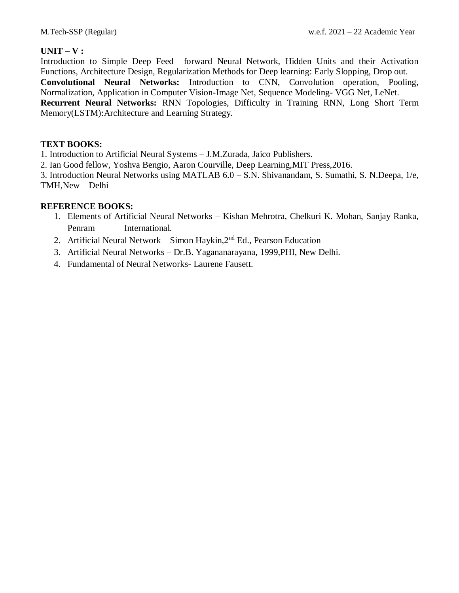# **UNIT – V :**

Introduction to Simple Deep Feed forward Neural Network, Hidden Units and their Activation Functions, Architecture Design, Regularization Methods for Deep learning: Early Slopping, Drop out. **Convolutional Neural Networks:** Introduction to CNN, Convolution operation, Pooling, Normalization, Application in Computer Vision-Image Net, Sequence Modeling- VGG Net, LeNet. **Recurrent Neural Networks:** RNN Topologies, Difficulty in Training RNN, Long Short Term Memory(LSTM):Architecture and Learning Strategy.

# **TEXT BOOKS:**

1. Introduction to Artificial Neural Systems – J.M.Zurada, Jaico Publishers.

2. Ian Good fellow, Yoshva Bengio, Aaron Courville, Deep Learning,MIT Press,2016.

3. Introduction Neural Networks using MATLAB 6.0 – S.N. Shivanandam, S. Sumathi, S. N.Deepa, 1/e, TMH,New Delhi

# **REFERENCE BOOKS:**

- 1. Elements of Artificial Neural Networks Kishan Mehrotra, Chelkuri K. Mohan, Sanjay Ranka, Penram International.
- 2. Artificial Neural Network Simon Haykin, $2<sup>nd</sup>$  Ed., Pearson Education
- 3. Artificial Neural Networks Dr.B. Yagananarayana, 1999,PHI, New Delhi.
- 4. Fundamental of Neural Networks- Laurene Fausett.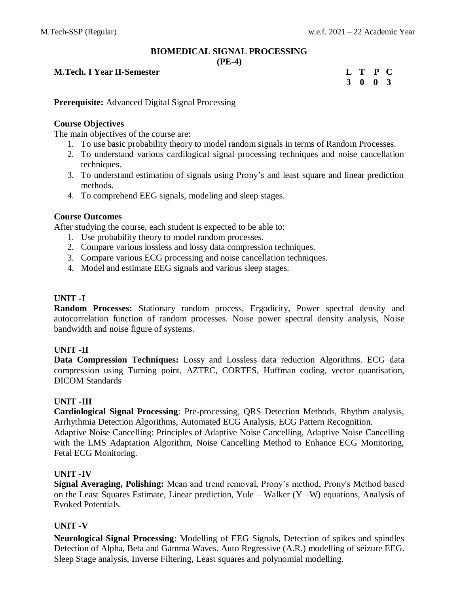# **BIOMEDICAL SIGNAL PROCESSING**

**(PE-4)**

# **M.Tech. I** Year **II-Semester**

| L | Т           | P        | C |
|---|-------------|----------|---|
| 3 | $\mathbf 0$ | $\bf{0}$ | 3 |

**Prerequisite:** Advanced Digital Signal Processing

# **Course Objectives**

The main objectives of the course are:

- 1. To use basic probability theory to model random signals in terms of Random Processes.
- 2. To understand various cardilogical signal processing techniques and noise cancellation techniques.
- 3. To understand estimation of signals using Prony's and least square and linear prediction methods.
- 4. To comprehend EEG signals, modeling and sleep stages.

# **Course Outcomes**

After studying the course, each student is expected to be able to:

- 1. Use probability theory to model random processes.
- 2. Compare various lossless and lossy data compression techniques.
- 3. Compare various ECG processing and noise cancellation techniques.
- 4. Model and estimate EEG signals and various sleep stages.

# **UNIT -I**

**Random Processes:** Stationary random process, Ergodicity, Power spectral density and autocorrelation function of random processes. Noise power spectral density analysis, Noise bandwidth and noise figure of systems.

# **UNIT -II**

**Data Compression Techniques:** Lossy and Lossless data reduction Algorithms. ECG data compression using Turning point, AZTEC, CORTES, Huffman coding, vector quantisation, DICOM Standards

# **UNIT -III**

**Cardiological Signal Processing**: Pre-processing, QRS Detection Methods, Rhythm analysis, Arrhythmia Detection Algorithms, Automated ECG Analysis, ECG Pattern Recognition.

Adaptive Noise Cancelling: Principles of Adaptive Noise Cancelling, Adaptive Noise Cancelling with the LMS Adaptation Algorithm, Noise Cancelling Method to Enhance ECG Monitoring, Fetal ECG Monitoring.

# **UNIT -IV**

**Signal Averaging, Polishing:** Mean and trend removal, Prony's method, Prony's Method based on the Least Squares Estimate, Linear prediction, Yule – Walker (Y –W) equations, Analysis of Evoked Potentials.

# **UNIT -V**

**Neurological Signal Processing**: Modelling of EEG Signals, Detection of spikes and spindles Detection of Alpha, Beta and Gamma Waves. Auto Regressive (A.R.) modelling of seizure EEG. Sleep Stage analysis, Inverse Filtering, Least squares and polynomial modelling.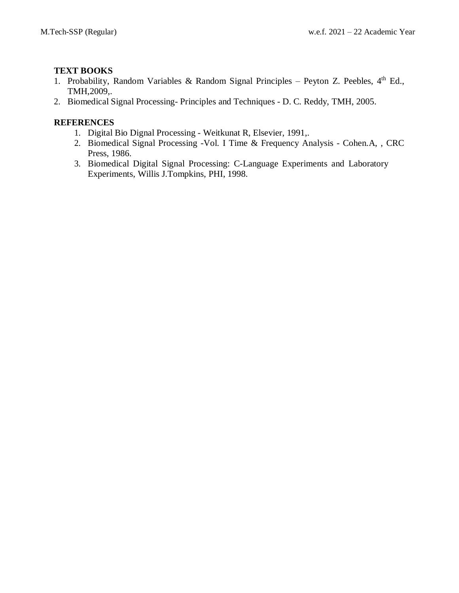# **TEXT BOOKS**

- 1. Probability, Random Variables & Random Signal Principles Peyton Z. Peebles, 4<sup>th</sup> Ed., TMH,2009,.
- 2. Biomedical Signal Processing- Principles and Techniques D. C. Reddy, TMH, 2005.

- 1. Digital Bio Dignal Processing Weitkunat R, Elsevier, 1991,.
- 2. Biomedical Signal Processing -Vol. I Time & Frequency Analysis Cohen.A, , CRC Press, 1986.
- 3. Biomedical Digital Signal Processing: C-Language Experiments and Laboratory Experiments, Willis J.Tompkins, PHI, 1998.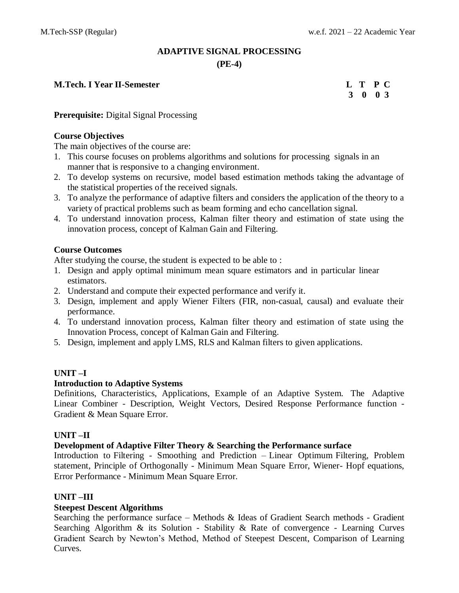# **ADAPTIVE SIGNAL PROCESSING (PE-4)**

**M.Tech. I Year II-Semester L T P C**

**3 0 0 3**

**Prerequisite:** Digital Signal Processing

# **Course Objectives**

The main objectives of the course are:

- 1. This course focuses on problems algorithms and solutions for processing signals in an manner that is responsive to a changing environment.
- 2. To develop systems on recursive, model based estimation methods taking the advantage of the statistical properties of the received signals.
- 3. To analyze the performance of adaptive filters and considers the application of the theory to a variety of practical problems such as beam forming and echo cancellation signal.
- 4. To understand innovation process, Kalman filter theory and estimation of state using the innovation process, concept of Kalman Gain and Filtering.

# **Course Outcomes**

After studying the course, the student is expected to be able to :

- 1. Design and apply optimal minimum mean square estimators and in particular linear estimators.
- 2. Understand and compute their expected performance and verify it.
- 3. Design, implement and apply Wiener Filters (FIR, non-casual, causal) and evaluate their performance.
- 4. To understand innovation process, Kalman filter theory and estimation of state using the Innovation Process, concept of Kalman Gain and Filtering.
- 5. Design, implement and apply LMS, RLS and Kalman filters to given applications.

# **UNIT –I**

### **Introduction to Adaptive Systems**

Definitions, Characteristics, Applications, Example of an Adaptive System. The Adaptive Linear Combiner - Description, Weight Vectors, Desired Response Performance function - Gradient & Mean Square Error.

### **UNIT –II**

### **Development of Adaptive Filter Theory & Searching the Performance surface**

Introduction to Filtering - Smoothing and Prediction – Linear Optimum Filtering, Problem statement, Principle of Orthogonally - Minimum Mean Square Error, Wiener- Hopf equations, Error Performance - Minimum Mean Square Error.

### **UNIT –III**

# **Steepest Descent Algorithms**

Searching the performance surface – Methods & Ideas of Gradient Search methods - Gradient Searching Algorithm & its Solution - Stability & Rate of convergence - Learning Curves Gradient Search by Newton's Method, Method of Steepest Descent, Comparison of Learning Curves.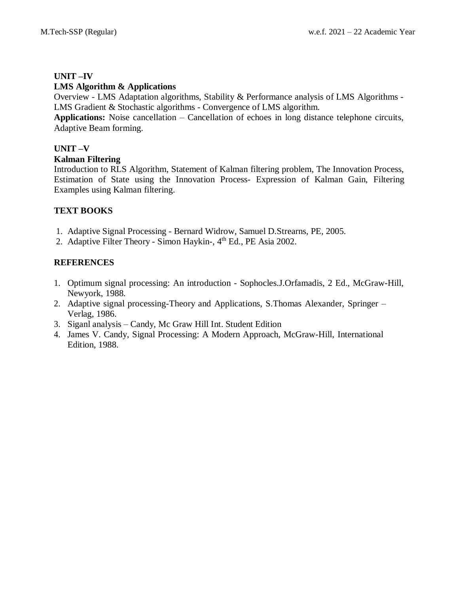# **UNIT –IV**

# **LMS Algorithm & Applications**

Overview - LMS Adaptation algorithms, Stability & Performance analysis of LMS Algorithms - LMS Gradient & Stochastic algorithms - Convergence of LMS algorithm.

**Applications:** Noise cancellation – Cancellation of echoes in long distance telephone circuits, Adaptive Beam forming.

# **UNIT –V**

# **Kalman Filtering**

Introduction to RLS Algorithm, Statement of Kalman filtering problem, The Innovation Process, Estimation of State using the Innovation Process- Expression of Kalman Gain, Filtering Examples using Kalman filtering.

# **TEXT BOOKS**

- 1. Adaptive Signal Processing Bernard Widrow, Samuel D.Strearns, PE, 2005.
- 2. Adaptive Filter Theory Simon Haykin-, 4<sup>th</sup> Ed., PE Asia 2002.

- 1. Optimum signal processing: An introduction Sophocles.J.Orfamadis, 2 Ed., McGraw-Hill, Newyork, 1988.
- 2. Adaptive signal processing-Theory and Applications, S.Thomas Alexander, Springer Verlag, 1986.
- 3. Siganl analysis Candy, Mc Graw Hill Int. Student Edition
- 4. James V. Candy, Signal Processing: A Modern Approach, McGraw-Hill, International Edition, 1988.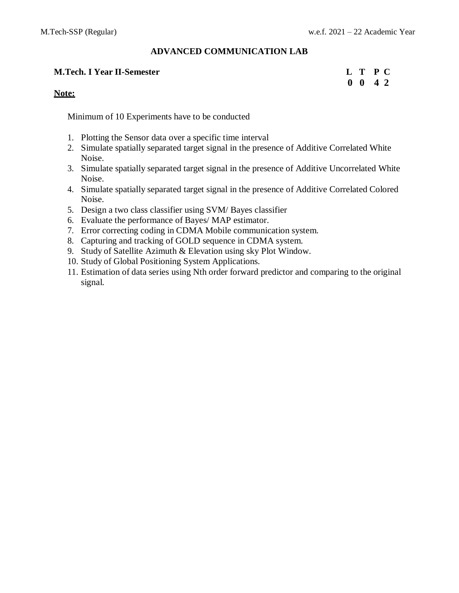**0 0 4 2**

### **ADVANCED COMMUNICATION LAB**

#### **M.Tech. I Year II-Semester L T P C**

#### **Note:**

Minimum of 10 Experiments have to be conducted

- 1. Plotting the Sensor data over a specific time interval
- 2. Simulate spatially separated target signal in the presence of Additive Correlated White Noise.
- 3. Simulate spatially separated target signal in the presence of Additive Uncorrelated White Noise.
- 4. Simulate spatially separated target signal in the presence of Additive Correlated Colored Noise.
- 5. Design a two class classifier using SVM/ Bayes classifier
- 6. Evaluate the performance of Bayes/ MAP estimator.
- 7. Error correcting coding in CDMA Mobile communication system.
- 8. Capturing and tracking of GOLD sequence in CDMA system.
- 9. Study of Satellite Azimuth & Elevation using sky Plot Window.
- 10. Study of Global Positioning System Applications.
- 11. Estimation of data series using Nth order forward predictor and comparing to the original signal.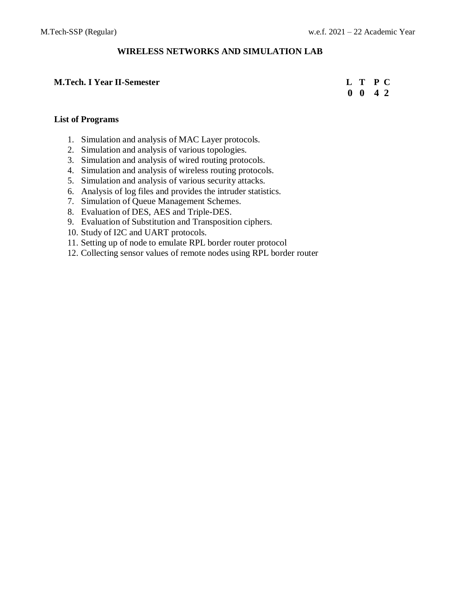# **WIRELESS NETWORKS AND SIMULATION LAB**

#### **M.Tech. I Year II-Semester L T P C**

 **0 0 4 2**

### **List of Programs**

- 1. Simulation and analysis of MAC Layer protocols.
- 2. Simulation and analysis of various topologies.
- 3. Simulation and analysis of wired routing protocols.
- 4. Simulation and analysis of wireless routing protocols.
- 5. Simulation and analysis of various security attacks.
- 6. Analysis of log files and provides the intruder statistics.
- 7. Simulation of Queue Management Schemes.
- 8. Evaluation of DES, AES and Triple-DES.
- 9. Evaluation of Substitution and Transposition ciphers.
- 10. Study of I2C and UART protocols.
- 11. Setting up of node to emulate RPL border router protocol
- 12. Collecting sensor values of remote nodes using RPL border router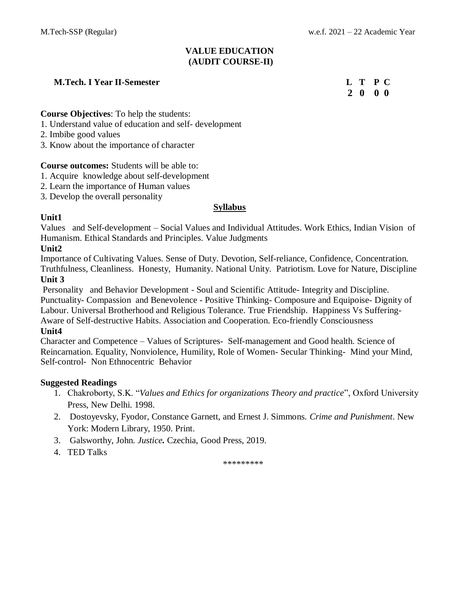# **VALUE EDUCATION (AUDIT COURSE-II)**

# **M.Tech. I Year II-Semester L T P C**

 **2 0 0 0**

**Course Objectives**: To help the students:

- 1. Understand value of education and self- development
- 2. Imbibe good values
- 3. Know about the importance of character

### **Course outcomes:** Students will be able to:

- 1. Acquire knowledge about self-development
- 2. Learn the importance of Human values
- 3. Develop the overall personality

# **Syllabus**

# **Unit1**

Values and Self-development – Social Values and Individual Attitudes. Work Ethics, Indian Vision of Humanism. Ethical Standards and Principles. Value Judgments

# **Unit2**

Importance of Cultivating Values. Sense of Duty. Devotion, Self-reliance, Confidence, Concentration. Truthfulness, Cleanliness. Honesty, Humanity. National Unity. Patriotism. Love for Nature, Discipline **Unit 3**

Personality and Behavior Development - Soul and Scientific Attitude- Integrity and Discipline. Punctuality- Compassion and Benevolence - Positive Thinking- Composure and Equipoise- Dignity of

Labour. Universal Brotherhood and Religious Tolerance. True Friendship. Happiness Vs Suffering-Aware of Self-destructive Habits. Association and Cooperation. Eco-friendly Consciousness

### **Unit4**

Character and Competence – Values of Scriptures- Self-management and Good health. Science of Reincarnation. Equality, Nonviolence, Humility, Role of Women- Secular Thinking- Mind your Mind, Self-control- Non Ethnocentric Behavior

### **Suggested Readings**

- 1. Chakroborty, S.K. "*Values and Ethics for organizations Theory and practice*", Oxford University Press, New Delhi. 1998.
- 2. Dostoyevsky, Fyodor, Constance Garnett, and Ernest J. Simmons. *Crime and Punishment*. New York: Modern Library, 1950. Print.
- 3. Galsworthy, John. *Justice.* Czechia, Good Press, 2019.
- 4. TED Talks

\*\*\*\*\*\*\*\*\*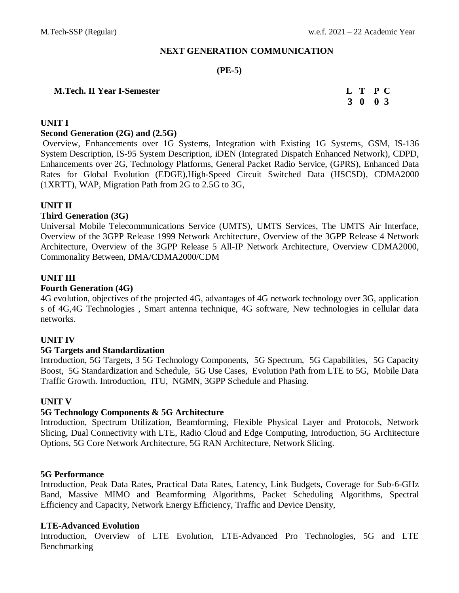### **NEXT GENERATION COMMUNICATION**

# **(PE-5)**

#### **M.Tech. II Year I-Semester L T P C**

 **3 0 0 3**

# **UNIT I**

#### **[Second Generation \(2G\)](http://accessengineeringlibrary.com/browse/3g-wireless-networks/p2000a2039970045001) and (2.5G)**

[Overview,](http://accessengineeringlibrary.com/browse/3g-wireless-networks/p2000a2039970045001#p2000a2039970046001) [Enhancements over 1G Systems,](http://accessengineeringlibrary.com/browse/3g-wireless-networks/p2000a2039970045001#p2000a2039970052001) [Integration with Existing 1G Systems,](http://accessengineeringlibrary.com/browse/3g-wireless-networks/p2000a2039970045001#p2000a2039970052002) [GSM,](http://accessengineeringlibrary.com/browse/3g-wireless-networks/p2000a2039970045001#p2000a2039970059001) [IS-136](http://accessengineeringlibrary.com/browse/3g-wireless-networks/p2000a2039970045001#p2000a2039970082001)  [System Description,](http://accessengineeringlibrary.com/browse/3g-wireless-networks/p2000a2039970045001#p2000a2039970082001) [IS-95 System Description,](http://accessengineeringlibrary.com/browse/3g-wireless-networks/p2000a2039970045001#p2000a2039970091001) [iDEN \(Integrated Dispatch Enhanced Network\),](http://accessengineeringlibrary.com/browse/3g-wireless-networks/p2000a2039970045001#p2000a2039970116001) [CDPD,](http://accessengineeringlibrary.com/browse/3g-wireless-networks/p2000a2039970045001#p2000a2039970129001) [Enhancements over 2G,](http://accessengineeringlibrary.com/browse/3g-wireless-networks/p2000a2039970165001#p2000a2039970167001) [Technology Platforms,](http://accessengineeringlibrary.com/browse/3g-wireless-networks/p2000a2039970165001#p2000a2039970168001) [General Packet Radio Service, \(GPRS\),](http://accessengineeringlibrary.com/browse/3g-wireless-networks/p2000a2039970165001#p2000a2039970169001) [Enhanced Data](http://accessengineeringlibrary.com/browse/3g-wireless-networks/p2000a2039970165001#p2000a2039970195001)  [Rates for Global Evolution \(EDGE\)](http://accessengineeringlibrary.com/browse/3g-wireless-networks/p2000a2039970165001#p2000a2039970195001)[,High-Speed Circuit Switched Data \(HSCSD\),](http://accessengineeringlibrary.com/browse/3g-wireless-networks/p2000a2039970165001#p2000a2039970200001) [CDMA2000](http://accessengineeringlibrary.com/browse/3g-wireless-networks/p2000a2039970165001#p2000a2039970201001)  [\(1XRTT\),](http://accessengineeringlibrary.com/browse/3g-wireless-networks/p2000a2039970165001#p2000a2039970201001) [WAP,](http://accessengineeringlibrary.com/browse/3g-wireless-networks/p2000a2039970165001#p2000a2039970213001) [Migration Path from 2G to 2.5G to 3G,](http://accessengineeringlibrary.com/browse/3g-wireless-networks/p2000a2039970165001#p2000a2039970215001)

# **UNIT II**

### **[Third Generation \(3G\)](http://accessengineeringlibrary.com/browse/3g-wireless-networks/p2000a2039970135001)**

Universal [Mobile Telecommunications Service \(UMTS\),](http://accessengineeringlibrary.com/browse/3g-wireless-networks/p2000a2039970135001#p2000a2039970141001) [UMTS Services,](http://accessengineeringlibrary.com/browse/3g-wireless-networks/p2000a2039970135001#p2000a2039970143001) [The UMTS Air Interface,](http://accessengineeringlibrary.com/browse/3g-wireless-networks/p2000a2039970135001#p2000a2039970145001) [Overview of the 3GPP Release 1999 Network Architecture,](http://accessengineeringlibrary.com/browse/3g-wireless-networks/p2000a2039970135001#p2000a2039970150001) [Overview of the 3GPP Release 4 Network](http://accessengineeringlibrary.com/browse/3g-wireless-networks/p2000a2039970135001#p2000a2039970152001)  [Architecture,](http://accessengineeringlibrary.com/browse/3g-wireless-networks/p2000a2039970135001#p2000a2039970152001) [Overview of the 3GPP Release 5 All-IP Network Architecture,](http://accessengineeringlibrary.com/browse/3g-wireless-networks/p2000a2039970135001#p2000a2039970155001) [Overview CDMA2000,](http://accessengineeringlibrary.com/browse/3g-wireless-networks/p2000a2039970135001#p2000a2039970157001) [Commonality Between, DMA/CDMA2000/CDM](http://accessengineeringlibrary.com/browse/3g-wireless-networks/p2000a2039970135001#p2000a2039970161001)

# **UNIT III**

### **Fourth Generation (4G)**

4G evolution, objectives of the projected 4G, advantages of 4G network technology over 3G, application s of 4G,4G Technologies , Smart antenna technique, 4G software, New technologies in cellular data networks.

### **UNIT IV**

# **5G Targets and Standardization**

Introduction, 5G Targets, 3 5G Technology Components, 5G Spectrum, 5G Capabilities, 5G Capacity Boost, 5G Standardization and Schedule, 5G Use Cases, Evolution Path from LTE to 5G, Mobile Data Traffic Growth. Introduction, ITU, NGMN, 3GPP Schedule and Phasing.

### **UNIT V**

### **5G Technology Components & 5G Architecture**

Introduction, Spectrum Utilization, Beamforming, Flexible Physical Layer and Protocols, Network Slicing, Dual Connectivity with LTE, Radio Cloud and Edge Computing, Introduction, 5G Architecture Options, 5G Core Network Architecture, 5G RAN Architecture, Network Slicing.

### **5G Performance**

Introduction, Peak Data Rates, Practical Data Rates, Latency, Link Budgets, Coverage for Sub-6-GHz Band, Massive MIMO and Beamforming Algorithms, Packet Scheduling Algorithms, Spectral Efficiency and Capacity, Network Energy Efficiency, Traffic and Device Density,

### **LTE-Advanced Evolution**

Introduction, Overview of LTE Evolution, LTE-Advanced Pro Technologies, 5G and LTE Benchmarking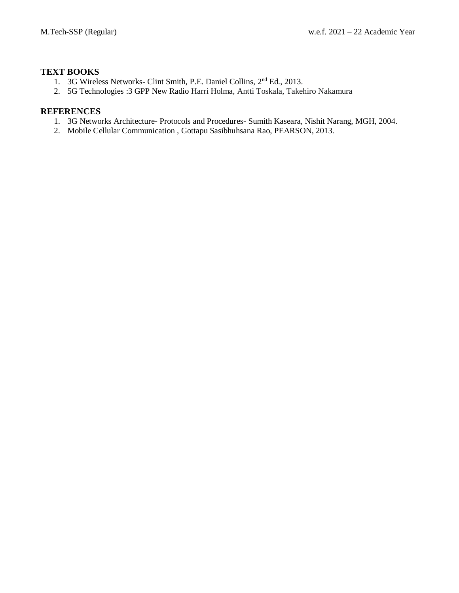# **TEXT BOOKS**

- 1. 3G Wireless Networks- Clint Smith, P.E. Daniel Collins, 2nd Ed., 2013.
- 2. 5G Technologies :3 GPP New Radio Harri Holma, Antti Toskala, Takehiro Nakamura

- 1. 3G Networks Architecture- Protocols and Procedures- Sumith Kaseara, Nishit Narang, MGH, 2004.
- 2. Mobile Cellular Communication , Gottapu Sasibhuhsana Rao, PEARSON, 2013.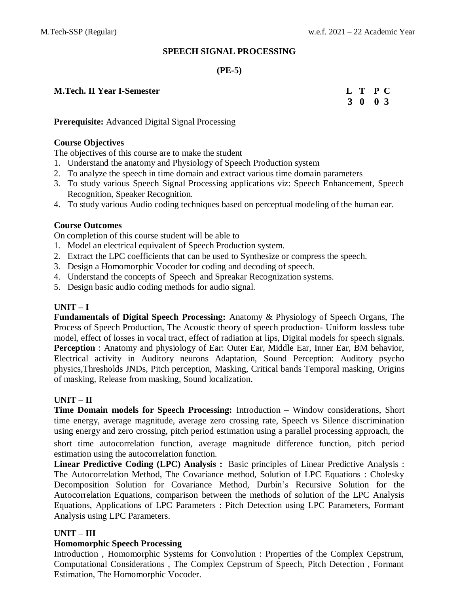# **SPEECH SIGNAL PROCESSING**

# **(PE-5)**

### **M.Tech. II** Year **I-Semester**

| <b>M.Tech. II Year I-Semester</b> | L T P C |  |
|-----------------------------------|---------|--|
|                                   | 3 0 0 3 |  |

**Prerequisite:** Advanced Digital Signal Processing

### **Course Objectives**

The objectives of this course are to make the student

- 1. Understand the anatomy and Physiology of Speech Production system
- 2. To analyze the speech in time domain and extract various time domain parameters
- 3. To study various Speech Signal Processing applications viz: Speech Enhancement, Speech Recognition, Speaker Recognition.
- 4. To study various Audio coding techniques based on perceptual modeling of the human ear.

### **Course Outcomes**

On completion of this course student will be able to

- 1. Model an electrical equivalent of Speech Production system.
- 2. Extract the LPC coefficients that can be used to Synthesize or compress the speech.
- 3. Design a Homomorphic Vocoder for coding and decoding of speech.
- 4. Understand the concepts of Speech and Spreakar Recognization systems.
- 5. Design basic audio coding methods for audio signal.

# **UNIT – I**

**Fundamentals of Digital Speech Processing:** Anatomy & Physiology of Speech Organs, The Process of Speech Production, The Acoustic theory of speech production- Uniform lossless tube model, effect of losses in vocal tract, effect of radiation at lips, Digital models for speech signals. **Perception** : Anatomy and physiology of Ear: Outer Ear, Middle Ear, Inner Ear, BM behavior, Electrical activity in Auditory neurons Adaptation, Sound Perception: Auditory psycho physics,Thresholds JNDs, Pitch perception, Masking, Critical bands Temporal masking, Origins of masking, Release from masking, Sound localization.

### **UNIT – II**

**Time Domain models for Speech Processing:** Introduction – Window considerations, Short time energy, average magnitude, average zero crossing rate, Speech vs Silence discrimination using energy and zero crossing, pitch period estimation using a parallel processing approach, the

short time autocorrelation function, average magnitude difference function, pitch period estimation using the autocorrelation function.

**Linear Predictive Coding (LPC) Analysis :** Basic principles of Linear Predictive Analysis : The Autocorrelation Method, The Covariance method, Solution of LPC Equations : Cholesky Decomposition Solution for Covariance Method, Durbin's Recursive Solution for the Autocorrelation Equations, comparison between the methods of solution of the LPC Analysis Equations, Applications of LPC Parameters : Pitch Detection using LPC Parameters, Formant Analysis using LPC Parameters.

### **UNIT – III**

### **Homomorphic Speech Processing**

Introduction , Homomorphic Systems for Convolution : Properties of the Complex Cepstrum, Computational Considerations , The Complex Cepstrum of Speech, Pitch Detection , Formant Estimation, The Homomorphic Vocoder.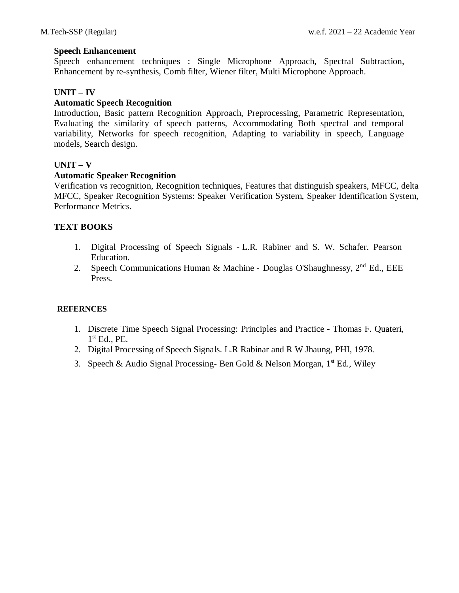### **Speech Enhancement**

Speech enhancement techniques : Single Microphone Approach, Spectral Subtraction, Enhancement by re-synthesis, Comb filter, Wiener filter, Multi Microphone Approach.

### **UNIT – IV**

### **Automatic Speech Recognition**

Introduction, Basic pattern Recognition Approach, Preprocessing, Parametric Representation, Evaluating the similarity of speech patterns, Accommodating Both spectral and temporal variability, Networks for speech recognition, Adapting to variability in speech, Language models, Search design.

### **UNIT – V**

### **Automatic Speaker Recognition**

Verification vs recognition, Recognition techniques, Features that distinguish speakers, MFCC, delta MFCC, Speaker Recognition Systems: Speaker Verification System, Speaker Identification System, Performance Metrics.

# **TEXT BOOKS**

- 1. Digital Processing of Speech Signals L.R. Rabiner and S. W. Schafer. Pearson Education.
- 2. Speech Communications Human & Machine Douglas O'Shaughnessy,  $2<sup>nd</sup>$  Ed., EEE Press.

- 1. Discrete Time Speech Signal Processing: Principles and Practice Thomas F. Quateri, 1 st Ed., PE.
- 2. Digital Processing of Speech Signals. L.R Rabinar and R W Jhaung, PHI, 1978.
- 3. Speech & Audio Signal Processing- Ben Gold & Nelson Morgan,  $1<sup>st</sup>$  Ed., Wiley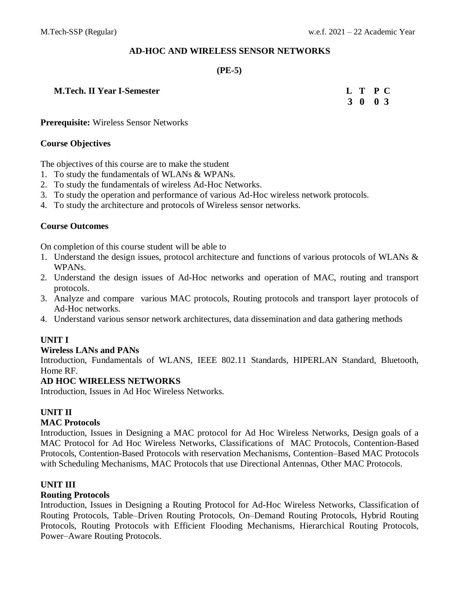# **AD-HOC AND WIRELESS SENSOR NETWORKS**

# **(PE-5)**

# **M.Tech. II** Year **I-Semester**

| <b>M.Tech. II Year I-Semester</b> | L T P C |  |
|-----------------------------------|---------|--|
|                                   | 3 0 0 3 |  |

**Prerequisite:** Wireless Sensor Networks

# **Course Objectives**

The objectives of this course are to make the student

- 1. To study the fundamentals of WLANs & WPANs.
- 2. To study the fundamentals of wireless Ad-Hoc Networks.
- 3. To study the operation and performance of various Ad-Hoc wireless network protocols.
- 4. To study the architecture and protocols of Wireless sensor networks.

# **Course Outcomes**

On completion of this course student will be able to

- 1. Understand the design issues, protocol architecture and functions of various protocols of WLANs & WPANs.
- 2. Understand the design issues of Ad-Hoc networks and operation of MAC, routing and transport protocols.
- 3. Analyze and compare various MAC protocols, Routing protocols and transport layer protocols of Ad-Hoc networks.
- 4. Understand various sensor network architectures, data dissemination and data gathering methods

# **UNIT I**

# **Wireless LANs and PANs**

Introduction, Fundamentals of WLANS, IEEE 802.11 Standards, HIPERLAN Standard, Bluetooth, Home RF.

# **AD HOC WIRELESS NETWORKS**

Introduction, Issues in Ad Hoc Wireless Networks.

# **UNIT II**

# **MAC Protocols**

Introduction, Issues in Designing a MAC protocol for Ad Hoc Wireless Networks, Design goals of a MAC Protocol for Ad Hoc Wireless Networks, Classifications of MAC Protocols, Contention-Based Protocols, Contention-Based Protocols with reservation Mechanisms, Contention–Based MAC Protocols with Scheduling Mechanisms, MAC Protocols that use Directional Antennas, Other MAC Protocols.

# **UNIT III**

# **Routing Protocols**

Introduction, Issues in Designing a Routing Protocol for Ad-Hoc Wireless Networks, Classification of Routing Protocols, Table–Driven Routing Protocols, On–Demand Routing Protocols, Hybrid Routing Protocols, Routing Protocols with Efficient Flooding Mechanisms, Hierarchical Routing Protocols, Power–Aware Routing Protocols.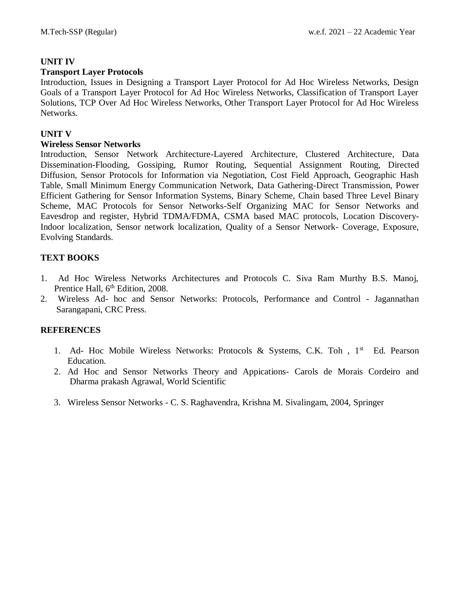# **UNIT IV**

# **Transport Layer Protocols**

Introduction, Issues in Designing a Transport Layer Protocol for Ad Hoc Wireless Networks, Design Goals of a Transport Layer Protocol for Ad Hoc Wireless Networks, Classification of Transport Layer Solutions, TCP Over Ad Hoc Wireless Networks, Other Transport Layer Protocol for Ad Hoc Wireless Networks.

# **UNIT V**

# **Wireless Sensor Networks**

Introduction, Sensor Network Architecture-Layered Architecture, Clustered Architecture, Data Dissemination-Flooding, Gossiping, Rumor Routing, Sequential Assignment Routing, Directed Diffusion, Sensor Protocols for Information via Negotiation, Cost Field Approach, Geographic Hash Table, Small Minimum Energy Communication Network, Data Gathering-Direct Transmission, Power Efficient Gathering for Sensor Information Systems, Binary Scheme, Chain based Three Level Binary Scheme, MAC Protocols for Sensor Networks-Self Organizing MAC for Sensor Networks and Eavesdrop and register, Hybrid TDMA/FDMA, CSMA based MAC protocols, Location Discovery-Indoor localization, Sensor network localization, Quality of a Sensor Network- Coverage, Exposure, Evolving Standards.

# **TEXT BOOKS**

- 1. Ad Hoc Wireless Networks Architectures and Protocols C. Siva Ram Murthy B.S. Manoj, Prentice Hall, 6<sup>th</sup> Edition, 2008.
- 2. Wireless Ad- hoc and Sensor Networks: Protocols, Performance and Control Jagannathan Sarangapani, CRC Press.

- 1. Ad- Hoc Mobile Wireless Networks: Protocols & Systems, C.K. Toh, 1<sup>st</sup> Ed. Pearson Education.
- 2. Ad Hoc and Sensor Networks Theory and Appications- Carols de Morais Cordeiro and Dharma prakash Agrawal, World Scientific
- 3. Wireless Sensor Networks C. S. Raghavendra, Krishna M. Sivalingam, 2004, Springer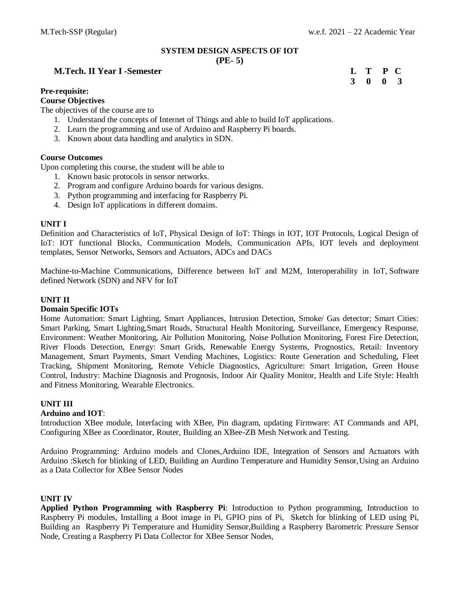# **SYSTEM DESIGN ASPECTS OF IOT**

#### **(PE- 5)**

#### **M.Tech. II** Year **I** -Semester

#### **Pre-requisite:**

#### **Course Objectives**

The objectives of the course are to

- 1. Understand the concepts of Internet of Things and able to build IoT applications.
- 2. Learn the programming and use of Arduino and Raspberry Pi boards.
- 3. Known about data handling and analytics in SDN.

#### **Course Outcomes**

Upon completing this course, the student will be able to

- 1. Known basic protocols in sensor networks.
- 2. Program and configure Arduino boards for various designs.
- 3. Python programming and interfacing for Raspberry Pi.
- 4. Design IoT applications in different domains.

#### **UNIT I**

Definition and Characteristics of IoT, Physical Design of IoT: Things in IOT, IOT Protocols, Logical Design of IoT: IOT functional Blocks, Communication Models, Communication APIs, IOT levels and deployment templates, Sensor Networks, Sensors and Actuators, ADCs and DACs

Machine-to-Machine Communications, Difference between IoT and M2M, Interoperability in IoT, Software defined Network (SDN) and NFV for IoT

#### **UNIT II**

#### **Domain Specific IOTs**

Home Automation: Smart Lighting, Smart Appliances, Intrusion Detection, Smoke/ Gas detector; Smart Cities: Smart Parking, Smart Lighting,Smart Roads, Structural Health Monitoring, Surveillance, Emergency Response, Environment: Weather Monitoring, Air Pollution Monitoring, Noise Pollution Monitoring, Forest Fire Detection, River Floods Detection, Energy: Smart Grids, Renewable Energy Systems, Prognostics, Retail: Inventory Management, Smart Payments, Smart Vending Machines, Logistics: Route Generation and Scheduling, Fleet Tracking, Shipment Monitoring, Remote Vehicle Diagnostics, Agriculture: Smart Irrigation, Green House Control, Industry: Machine Diagnosis and Prognosis, Indoor Air Quality Monitor, Health and Life Style: Health and Fitness Monitoring, Wearable Electronics.

#### **UNIT III**

#### **Arduino and IOT**:

Introduction XBee module, Interfacing with XBee, Pin diagram, updating Firmware: AT Commands and API, Configuring XBee as Coordinator, Router, Building an XBee-ZB Mesh Network and Testing.

Arduino Programming: Arduino models and Clones,Arduino IDE, Integration of Sensors and Actuators with Arduino :Sketch for blinking of LED, Building an Aurdino Temperature and Humidity Sensor,Using an Arduino as a Data Collector for XBee Sensor Nodes

#### **UNIT IV**

**Applied Python Programming with Raspberry Pi**: Introduction to Python programming, Introduction to Raspberry Pi modules, Installing a Boot image in Pi, GPIO pins of Pi, Sketch for blinking of LED using Pi, Building an Raspberry Pi Temperature and Humidity Sensor,Building a Raspberry Barometric Pressure Sensor Node, Creating a Raspberry Pi Data Collector for XBee Sensor Nodes,

| L | Т | P | $\blacksquare$ |
|---|---|---|----------------|
| 3 | 0 | 0 | 3              |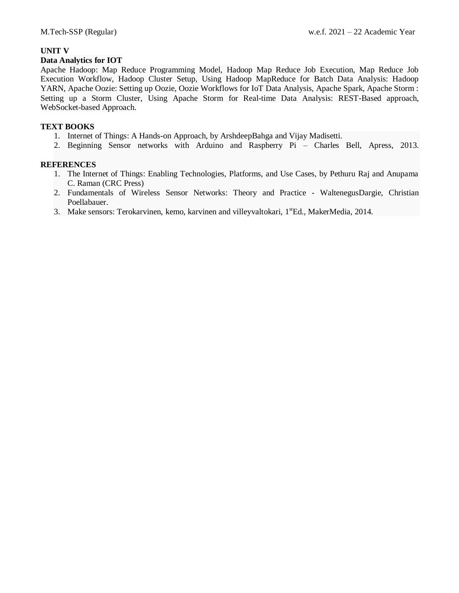### **UNIT V**

#### **Data Analytics for IOT**

Apache Hadoop: Map Reduce Programming Model, Hadoop Map Reduce Job Execution, Map Reduce Job Execution Workflow, Hadoop Cluster Setup, Using Hadoop MapReduce for Batch Data Analysis: Hadoop YARN, Apache Oozie: Setting up Oozie, Oozie Workflows for IoT Data Analysis, Apache Spark, Apache Storm : Setting up a Storm Cluster, Using Apache Storm for Real-time Data Analysis: REST-Based approach, WebSocket-based Approach.

#### **TEXT BOOKS**

- 1. Internet of Things: A Hands-on Approach, by ArshdeepBahga and Vijay Madisetti.
- 2. Beginning Sensor networks with Arduino and Raspberry Pi Charles Bell, Apress, 2013.

- 1. The Internet of Things: Enabling Technologies, Platforms, and Use Cases, by Pethuru Raj and Anupama C. Raman (CRC Press)
- 2. Fundamentals of Wireless Sensor Networks: Theory and Practice WaltenegusDargie, Christian Poellabauer.
- 3. Make sensors: Terokarvinen, kemo, karvinen and villeyvaltokari,  $1^{st}Ed$ , MakerMedia, 2014.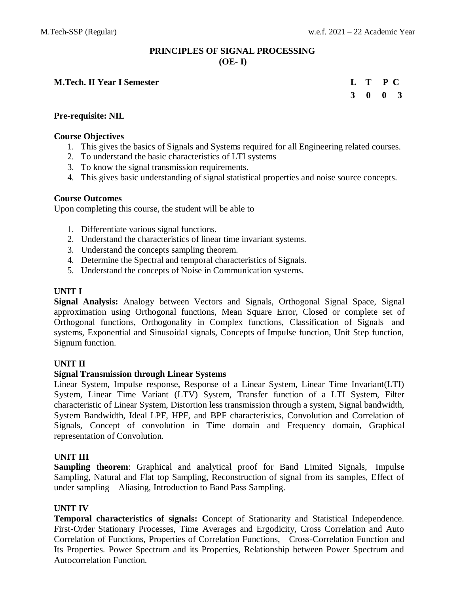# **PRINCIPLES OF SIGNAL PROCESSING (OE- I)**

#### **M.Tech. II Year I Semester L T P C**

# **3 0 0 3**

# **Pre-requisite: NIL**

# **Course Objectives**

- 1. This gives the basics of Signals and Systems required for all Engineering related courses.
- 2. To understand the basic characteristics of LTI systems
- 3. To know the signal transmission requirements.
- 4. This gives basic understanding of signal statistical properties and noise source concepts.

# **Course Outcomes**

Upon completing this course, the student will be able to

- 1. Differentiate various signal functions.
- 2. Understand the characteristics of linear time invariant systems.
- 3. Understand the concepts sampling theorem.
- 4. Determine the Spectral and temporal characteristics of Signals.
- 5. Understand the concepts of Noise in Communication systems.

# **UNIT I**

**Signal Analysis:** Analogy between Vectors and Signals, Orthogonal Signal Space, Signal approximation using Orthogonal functions, Mean Square Error, Closed or complete set of Orthogonal functions, Orthogonality in Complex functions, Classification of Signals and systems, Exponential and Sinusoidal signals, Concepts of Impulse function, Unit Step function, Signum function.

# **UNIT II**

### **Signal Transmission through Linear Systems**

Linear System, Impulse response, Response of a Linear System, Linear Time Invariant(LTI) System, Linear Time Variant (LTV) System, Transfer function of a LTI System, Filter characteristic of Linear System, Distortion less transmission through a system, Signal bandwidth, System Bandwidth, Ideal LPF, HPF, and BPF characteristics, Convolution and Correlation of Signals, Concept of convolution in Time domain and Frequency domain, Graphical representation of Convolution.

# **UNIT III**

**Sampling theorem**: Graphical and analytical proof for Band Limited Signals, Impulse Sampling, Natural and Flat top Sampling, Reconstruction of signal from its samples, Effect of under sampling – Aliasing, Introduction to Band Pass Sampling.

### **UNIT IV**

**Temporal characteristics of signals: C**oncept of Stationarity and Statistical Independence. First-Order Stationary Processes, Time Averages and Ergodicity, Cross Correlation and Auto Correlation of Functions, Properties of Correlation Functions, Cross-Correlation Function and Its Properties. Power Spectrum and its Properties, Relationship between Power Spectrum and Autocorrelation Function.